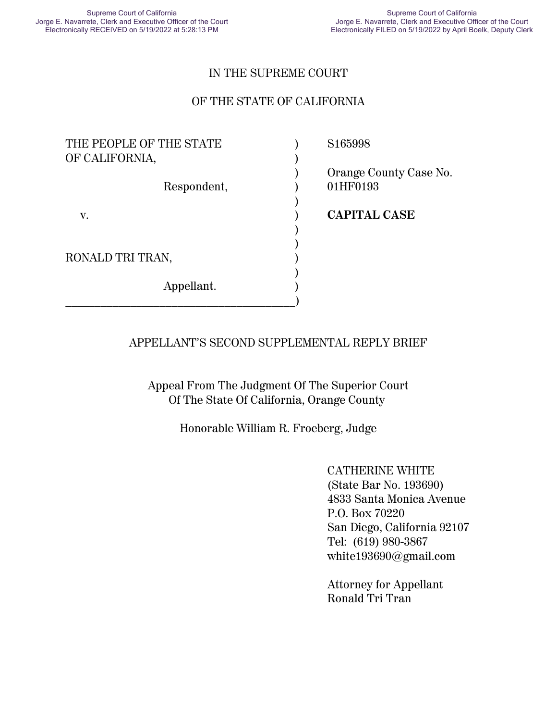#### IN THE SUPREME COURT

#### OF THE STATE OF CALIFORNIA

| THE PEOPLE OF THE STATE       | S <sub>165998</sub>                |
|-------------------------------|------------------------------------|
| OF CALIFORNIA,<br>Respondent, | Orange County Case No.<br>01HF0193 |
| V.                            | <b>CAPITAL CASE</b>                |
| RONALD TRI TRAN,              |                                    |
| Appellant.                    |                                    |

#### APPELLANT'S SECOND SUPPLEMENTAL REPLY BRIEF

Appeal From The Judgment Of The Superior Court Of The State Of California, Orange County

Honorable William R. Froeberg, Judge

CATHERINE WHITE (State Bar No. 193690) 4833 Santa Monica Avenue P.O. Box 70220 San Diego, California 92107 Tel: (619) 980-3867 white193690@gmail.com

Attorney for Appellant Ronald Tri Tran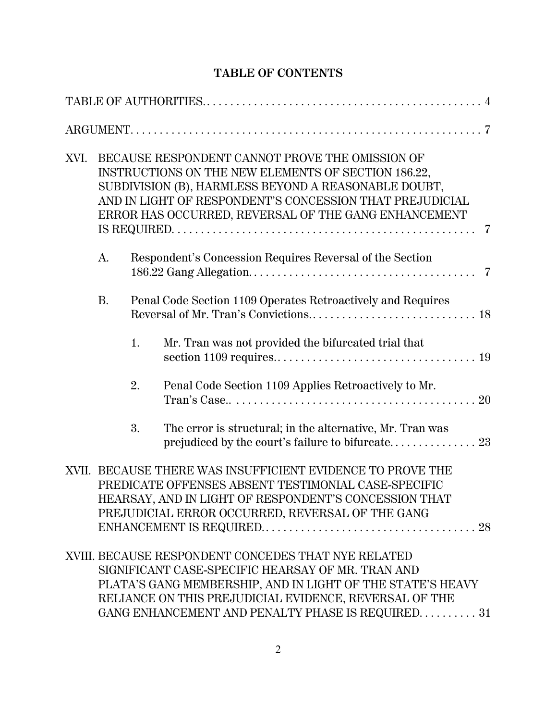# **TABLE OF CONTENTS**

| XVI. |           |    | BECAUSE RESPONDENT CANNOT PROVE THE OMISSION OF<br>INSTRUCTIONS ON THE NEW ELEMENTS OF SECTION 186.22,<br>SUBDIVISION (B), HARMLESS BEYOND A REASONABLE DOUBT,<br>AND IN LIGHT OF RESPONDENT'S CONCESSION THAT PREJUDICIAL<br>ERROR HAS OCCURRED, REVERSAL OF THE GANG ENHANCEMENT     |  |
|------|-----------|----|----------------------------------------------------------------------------------------------------------------------------------------------------------------------------------------------------------------------------------------------------------------------------------------|--|
|      | A.        |    | Respondent's Concession Requires Reversal of the Section                                                                                                                                                                                                                               |  |
|      | <b>B.</b> |    | Penal Code Section 1109 Operates Retroactively and Requires                                                                                                                                                                                                                            |  |
|      |           | 1. | Mr. Tran was not provided the bifurcated trial that                                                                                                                                                                                                                                    |  |
|      |           | 2. | Penal Code Section 1109 Applies Retroactively to Mr.                                                                                                                                                                                                                                   |  |
|      |           | 3. | The error is structural; in the alternative, Mr. Tran was                                                                                                                                                                                                                              |  |
|      |           |    | XVII. BECAUSE THERE WAS INSUFFICIENT EVIDENCE TO PROVE THE<br>PREDICATE OFFENSES ABSENT TESTIMONIAL CASE-SPECIFIC<br>HEARSAY, AND IN LIGHT OF RESPONDENT'S CONCESSION THAT<br>PREJUDICIAL ERROR OCCURRED, REVERSAL OF THE GANG                                                         |  |
|      |           |    | XVIII. BECAUSE RESPONDENT CONCEDES THAT NYE RELATED<br>SIGNIFICANT CASE-SPECIFIC HEARSAY OF MR. TRAN AND<br>PLATA'S GANG MEMBERSHIP, AND IN LIGHT OF THE STATE'S HEAVY<br>RELIANCE ON THIS PREJUDICIAL EVIDENCE, REVERSAL OF THE<br>GANG ENHANCEMENT AND PENALTY PHASE IS REQUIRED. 31 |  |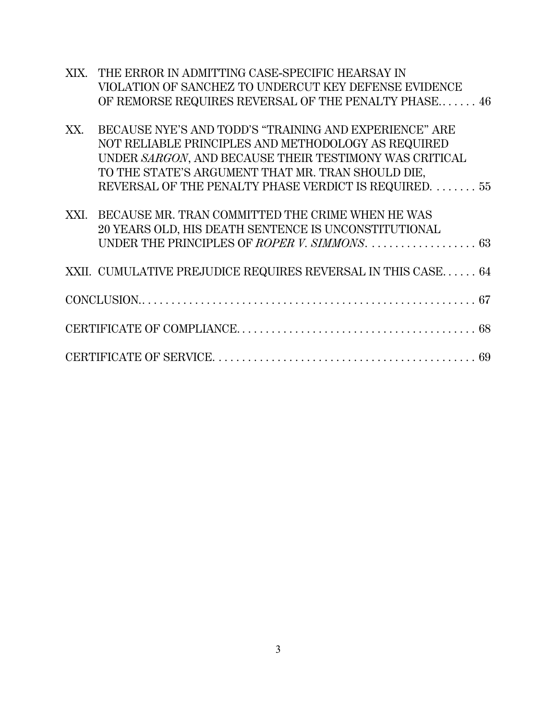|      | XIX. THE ERROR IN ADMITTING CASE-SPECIFIC HEARSAY IN         |
|------|--------------------------------------------------------------|
|      | VIOLATION OF SANCHEZ TO UNDERCUT KEY DEFENSE EVIDENCE        |
|      | OF REMORSE REQUIRES REVERSAL OF THE PENALTY PHASE 46         |
|      |                                                              |
| XX.  | BECAUSE NYE'S AND TODD'S "TRAINING AND EXPERIENCE" ARE       |
|      | NOT RELIABLE PRINCIPLES AND METHODOLOGY AS REQUIRED          |
|      | UNDER SARGON, AND BECAUSE THEIR TESTIMONY WAS CRITICAL       |
|      | TO THE STATE'S ARGUMENT THAT MR. TRAN SHOULD DIE,            |
|      | REVERSAL OF THE PENALTY PHASE VERDICT IS REQUIRED.  55       |
|      |                                                              |
| XXI. | BECAUSE MR. TRAN COMMITTED THE CRIME WHEN HE WAS             |
|      | 20 YEARS OLD, HIS DEATH SENTENCE IS UNCONSTITUTIONAL         |
|      | UNDER THE PRINCIPLES OF ROPER V. SIMMONS.  63                |
|      |                                                              |
|      | XXII. CUMULATIVE PREJUDICE REQUIRES REVERSAL IN THIS CASE 64 |
|      |                                                              |
|      |                                                              |
|      |                                                              |
|      |                                                              |
|      |                                                              |
|      |                                                              |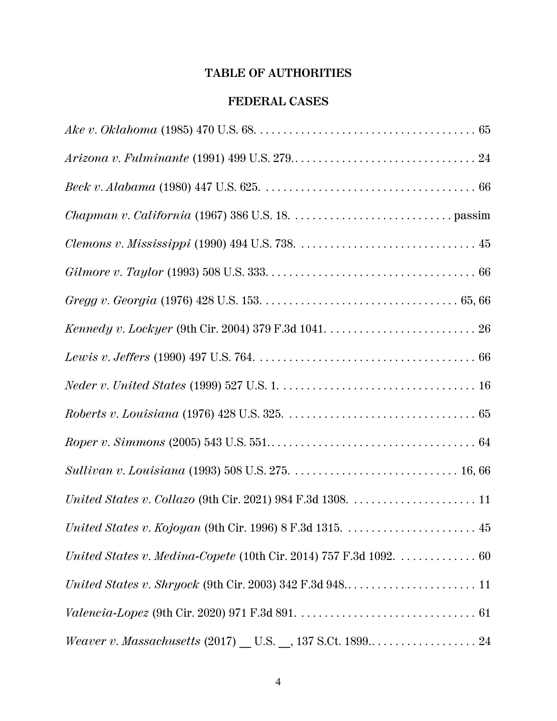# **TABLE OF AUTHORITIES**

## **FEDERAL CASES**

| $United\ States\ v.\ Collazo\ (9th\ Cir.\ 2021)\ 984\ F.3d\ 1308.\ \dots\dots\dots\dots\dots\dots\dots\dots 11$ |
|-----------------------------------------------------------------------------------------------------------------|
|                                                                                                                 |
| United States v. Medina-Copete (10th Cir. 2014) 757 F.3d 1092. $\dots\dots\dots\dots\dots$ 60                   |
|                                                                                                                 |
|                                                                                                                 |
|                                                                                                                 |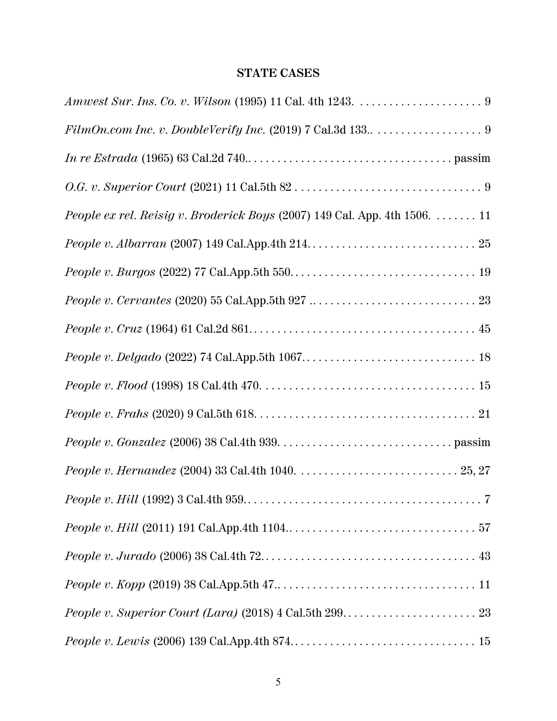# **STATE CASES**

| <i>People ex rel. Reisig v. Broderick Boys</i> (2007) 149 Cal. App. 4th 1506. $\dots \dots 11$ |
|------------------------------------------------------------------------------------------------|
|                                                                                                |
|                                                                                                |
|                                                                                                |
|                                                                                                |
|                                                                                                |
|                                                                                                |
|                                                                                                |
|                                                                                                |
|                                                                                                |
|                                                                                                |
|                                                                                                |
|                                                                                                |
|                                                                                                |
|                                                                                                |
|                                                                                                |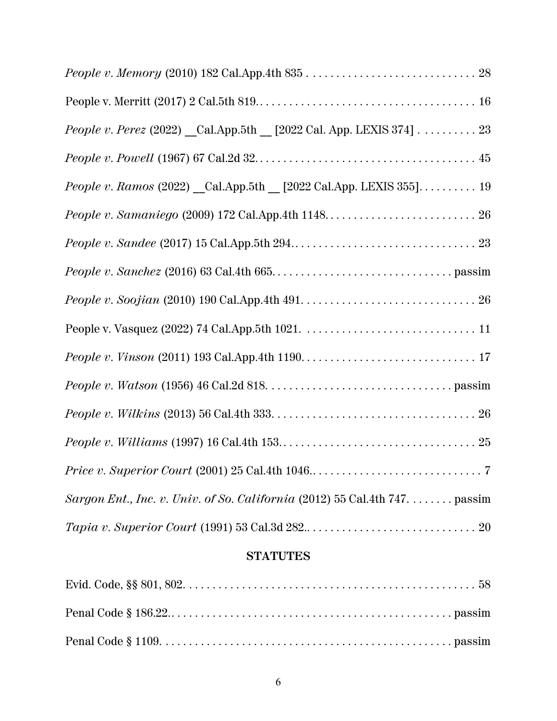## **STATUTES**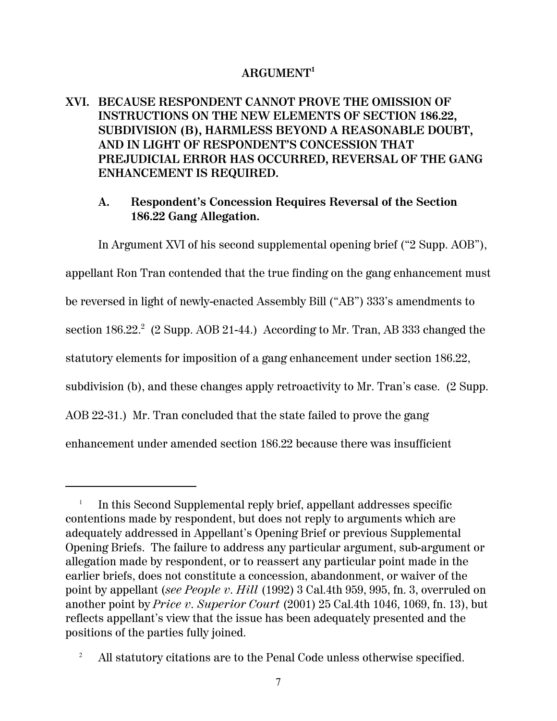### **ARGUMENT<sup>1</sup>**

**XVI. BECAUSE RESPONDENT CANNOT PROVE THE OMISSION OF INSTRUCTIONS ON THE NEW ELEMENTS OF SECTION 186.22, SUBDIVISION (B), HARMLESS BEYOND A REASONABLE DOUBT, AND IN LIGHT OF RESPONDENT'S CONCESSION THAT PREJUDICIAL ERROR HAS OCCURRED, REVERSAL OF THE GANG ENHANCEMENT IS REQUIRED.**

### **A. Respondent's Concession Requires Reversal of the Section 186.22 Gang Allegation.**

In Argument XVI of his second supplemental opening brief ("2 Supp. AOB"),

appellant Ron Tran contended that the true finding on the gang enhancement must be reversed in light of newly-enacted Assembly Bill ("AB") 333's amendments to section 186.22.<sup>2</sup> (2 Supp. AOB 21-44.) According to Mr. Tran, AB 333 changed the statutory elements for imposition of a gang enhancement under section 186.22, subdivision (b), and these changes apply retroactivity to Mr. Tran's case. (2 Supp. AOB 22-31.) Mr. Tran concluded that the state failed to prove the gang enhancement under amended section 186.22 because there was insufficient

<sup>1</sup> In this Second Supplemental reply brief, appellant addresses specific contentions made by respondent, but does not reply to arguments which are adequately addressed in Appellant's Opening Brief or previous Supplemental Opening Briefs. The failure to address any particular argument, sub-argument or allegation made by respondent, or to reassert any particular point made in the earlier briefs, does not constitute a concession, abandonment, or waiver of the point by appellant (*see People v. Hill* (1992) 3 Cal.4th 959, 995, fn. 3, overruled on another point by *Price v. Superior Court* (2001) 25 Cal.4th 1046, 1069, fn. 13), but reflects appellant's view that the issue has been adequately presented and the positions of the parties fully joined.

<sup>&</sup>lt;sup>2</sup> All statutory citations are to the Penal Code unless otherwise specified.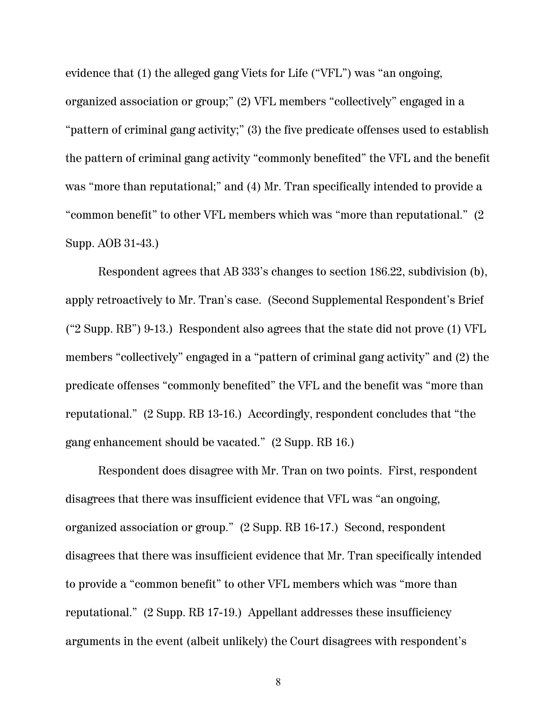evidence that (1) the alleged gang Viets for Life ("VFL") was "an ongoing, organized association or group;" (2) VFL members "collectively" engaged in a "pattern of criminal gang activity;" (3) the five predicate offenses used to establish the pattern of criminal gang activity "commonly benefited" the VFL and the benefit was "more than reputational;" and (4) Mr. Tran specifically intended to provide a "common benefit" to other VFL members which was "more than reputational." (2 Supp. AOB 31-43.)

Respondent agrees that AB 333's changes to section 186.22, subdivision (b), apply retroactively to Mr. Tran's case. (Second Supplemental Respondent's Brief ("2 Supp. RB") 9-13.) Respondent also agrees that the state did not prove (1) VFL members "collectively" engaged in a "pattern of criminal gang activity" and (2) the predicate offenses "commonly benefited" the VFL and the benefit was "more than reputational." (2 Supp. RB 13-16.) Accordingly, respondent concludes that "the gang enhancement should be vacated." (2 Supp. RB 16.)

Respondent does disagree with Mr. Tran on two points. First, respondent disagrees that there was insufficient evidence that VFL was "an ongoing, organized association or group." (2 Supp. RB 16-17.) Second, respondent disagrees that there was insufficient evidence that Mr. Tran specifically intended to provide a "common benefit" to other VFL members which was "more than reputational." (2 Supp. RB 17-19.) Appellant addresses these insufficiency arguments in the event (albeit unlikely) the Court disagrees with respondent's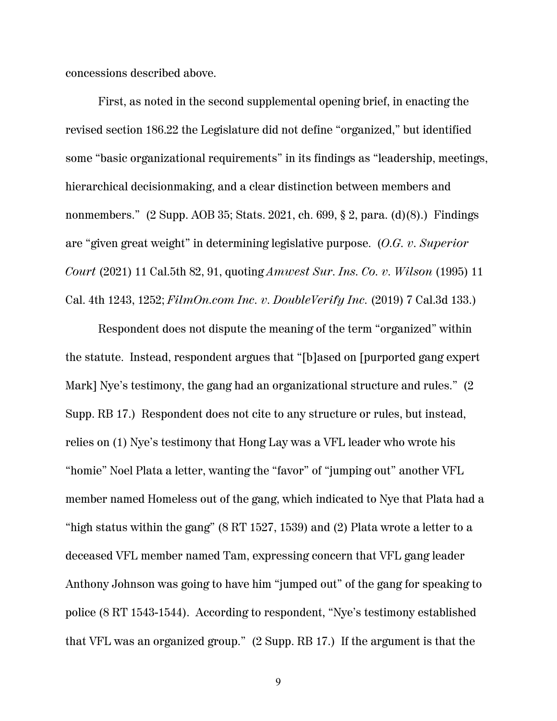concessions described above.

First, as noted in the second supplemental opening brief, in enacting the revised section 186.22 the Legislature did not define "organized," but identified some "basic organizational requirements" in its findings as "leadership, meetings, hierarchical decisionmaking, and a clear distinction between members and nonmembers." (2 Supp. AOB 35; Stats. 2021, ch. 699, § 2, para. (d)(8).) Findings are "given great weight" in determining legislative purpose. (*O.G. v. Superior Court* (2021) 11 Cal.5th 82, 91, quoting *Amwest Sur. Ins. Co. v. Wilson* (1995) 11 Cal. 4th 1243, 1252; *FilmOn.com Inc. v. DoubleVerify Inc.* (2019) 7 Cal.3d 133.)

Respondent does not dispute the meaning of the term "organized" within the statute. Instead, respondent argues that "[b]ased on [purported gang expert Mark] Nye's testimony, the gang had an organizational structure and rules." (2 Supp. RB 17.) Respondent does not cite to any structure or rules, but instead, relies on (1) Nye's testimony that Hong Lay was a VFL leader who wrote his "homie" Noel Plata a letter, wanting the "favor" of "jumping out" another VFL member named Homeless out of the gang, which indicated to Nye that Plata had a "high status within the gang" (8 RT 1527, 1539) and (2) Plata wrote a letter to a deceased VFL member named Tam, expressing concern that VFL gang leader Anthony Johnson was going to have him "jumped out" of the gang for speaking to police (8 RT 1543-1544). According to respondent, "Nye's testimony established that VFL was an organized group." (2 Supp. RB 17.) If the argument is that the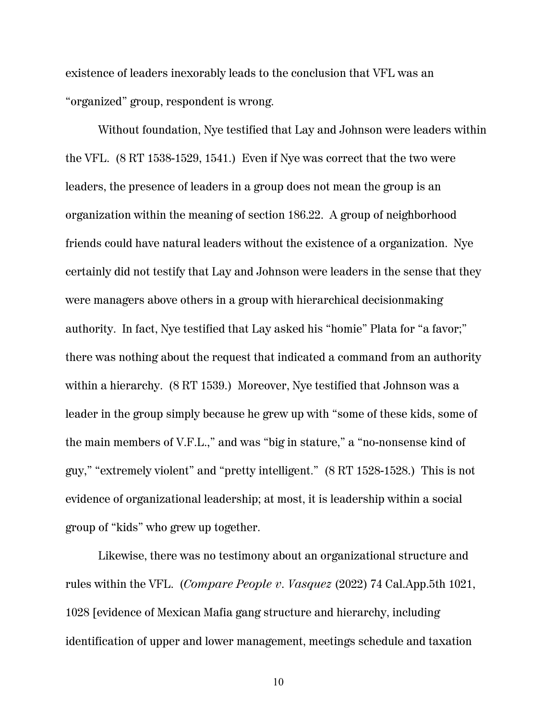existence of leaders inexorably leads to the conclusion that VFL was an "organized" group, respondent is wrong.

Without foundation, Nye testified that Lay and Johnson were leaders within the VFL. (8 RT 1538-1529, 1541.) Even if Nye was correct that the two were leaders, the presence of leaders in a group does not mean the group is an organization within the meaning of section 186.22. A group of neighborhood friends could have natural leaders without the existence of a organization. Nye certainly did not testify that Lay and Johnson were leaders in the sense that they were managers above others in a group with hierarchical decisionmaking authority. In fact, Nye testified that Lay asked his "homie" Plata for "a favor;" there was nothing about the request that indicated a command from an authority within a hierarchy. (8 RT 1539.) Moreover, Nye testified that Johnson was a leader in the group simply because he grew up with "some of these kids, some of the main members of V.F.L.," and was "big in stature," a "no-nonsense kind of guy," "extremely violent" and "pretty intelligent." (8 RT 1528-1528.) This is not evidence of organizational leadership; at most, it is leadership within a social group of "kids" who grew up together.

Likewise, there was no testimony about an organizational structure and rules within the VFL. (*Compare People v. Vasquez* (2022) 74 Cal.App.5th 1021, 1028 [evidence of Mexican Mafia gang structure and hierarchy, including identification of upper and lower management, meetings schedule and taxation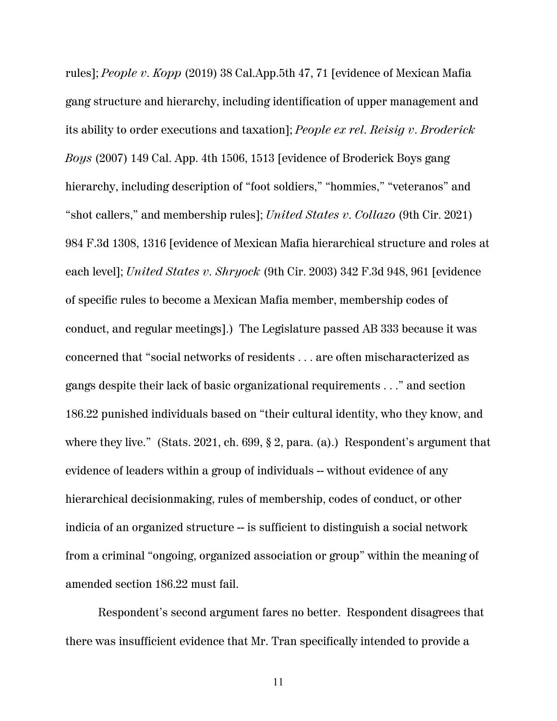rules]; *People v. Kopp* (2019) 38 Cal.App.5th 47, 71 [evidence of Mexican Mafia gang structure and hierarchy, including identification of upper management and its ability to order executions and taxation]; *People ex rel. Reisig v. Broderick Boys* (2007) 149 Cal. App. 4th 1506, 1513 [evidence of Broderick Boys gang hierarchy, including description of "foot soldiers," "hommies," "veteranos" and "shot callers," and membership rules]; *United States v. Collazo* (9th Cir. 2021) 984 F.3d 1308, 1316 [evidence of Mexican Mafia hierarchical structure and roles at each level]; *United States v. Shryock* (9th Cir. 2003) 342 F.3d 948, 961 [evidence of specific rules to become a Mexican Mafia member, membership codes of conduct, and regular meetings].) The Legislature passed AB 333 because it was concerned that "social networks of residents . . . are often mischaracterized as gangs despite their lack of basic organizational requirements . . ." and section 186.22 punished individuals based on "their cultural identity, who they know, and where they live." (Stats. 2021, ch. 699, § 2, para. (a).) Respondent's argument that evidence of leaders within a group of individuals -- without evidence of any hierarchical decisionmaking, rules of membership, codes of conduct, or other indicia of an organized structure -- is sufficient to distinguish a social network from a criminal "ongoing, organized association or group" within the meaning of amended section 186.22 must fail.

Respondent's second argument fares no better. Respondent disagrees that there was insufficient evidence that Mr. Tran specifically intended to provide a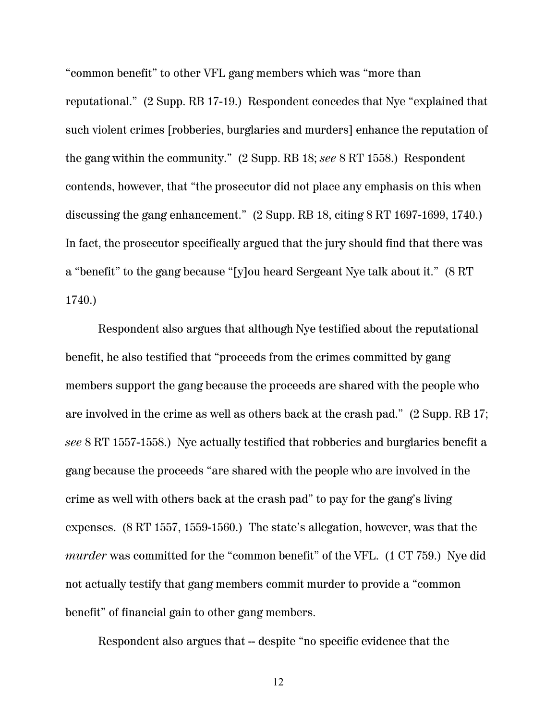"common benefit" to other VFL gang members which was "more than reputational." (2 Supp. RB 17-19.) Respondent concedes that Nye "explained that such violent crimes [robberies, burglaries and murders] enhance the reputation of the gang within the community." (2 Supp. RB 18; *see* 8 RT 1558.) Respondent contends, however, that "the prosecutor did not place any emphasis on this when discussing the gang enhancement." (2 Supp. RB 18, citing 8 RT 1697-1699, 1740.) In fact, the prosecutor specifically argued that the jury should find that there was a "benefit" to the gang because "[y]ou heard Sergeant Nye talk about it." (8 RT 1740.)

Respondent also argues that although Nye testified about the reputational benefit, he also testified that "proceeds from the crimes committed by gang members support the gang because the proceeds are shared with the people who are involved in the crime as well as others back at the crash pad." (2 Supp. RB 17; *see* 8 RT 1557-1558.) Nye actually testified that robberies and burglaries benefit a gang because the proceeds "are shared with the people who are involved in the crime as well with others back at the crash pad" to pay for the gang's living expenses. (8 RT 1557, 1559-1560.) The state's allegation, however, was that the *murder* was committed for the "common benefit" of the VFL. (1 CT 759.) Nye did not actually testify that gang members commit murder to provide a "common benefit" of financial gain to other gang members.

Respondent also argues that -- despite "no specific evidence that the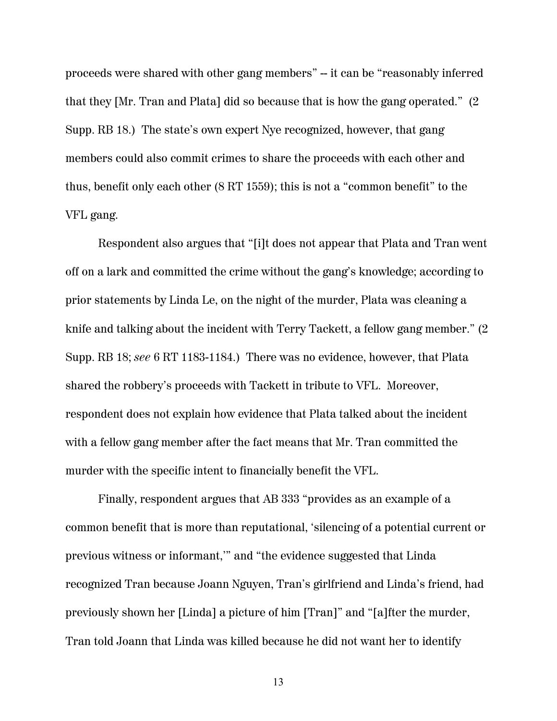proceeds were shared with other gang members" -- it can be "reasonably inferred that they [Mr. Tran and Plata] did so because that is how the gang operated." (2 Supp. RB 18.) The state's own expert Nye recognized, however, that gang members could also commit crimes to share the proceeds with each other and thus, benefit only each other (8 RT 1559); this is not a "common benefit" to the VFL gang.

Respondent also argues that "[i]t does not appear that Plata and Tran went off on a lark and committed the crime without the gang's knowledge; according to prior statements by Linda Le, on the night of the murder, Plata was cleaning a knife and talking about the incident with Terry Tackett, a fellow gang member." (2 Supp. RB 18; *see* 6 RT 1183-1184.) There was no evidence, however, that Plata shared the robbery's proceeds with Tackett in tribute to VFL. Moreover, respondent does not explain how evidence that Plata talked about the incident with a fellow gang member after the fact means that Mr. Tran committed the murder with the specific intent to financially benefit the VFL.

Finally, respondent argues that AB 333 "provides as an example of a common benefit that is more than reputational, 'silencing of a potential current or previous witness or informant,'" and "the evidence suggested that Linda recognized Tran because Joann Nguyen, Tran's girlfriend and Linda's friend, had previously shown her [Linda] a picture of him [Tran]" and "[a]fter the murder, Tran told Joann that Linda was killed because he did not want her to identify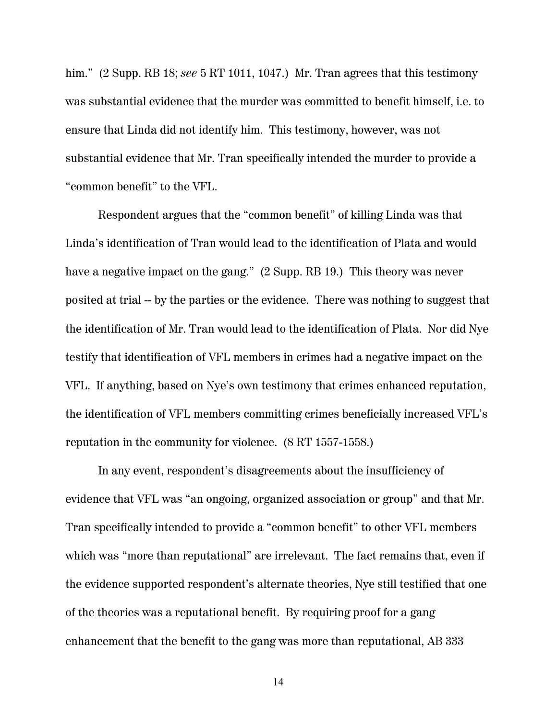him." (2 Supp. RB 18; *see* 5 RT 1011, 1047.) Mr. Tran agrees that this testimony was substantial evidence that the murder was committed to benefit himself, i.e. to ensure that Linda did not identify him. This testimony, however, was not substantial evidence that Mr. Tran specifically intended the murder to provide a "common benefit" to the VFL.

Respondent argues that the "common benefit" of killing Linda was that Linda's identification of Tran would lead to the identification of Plata and would have a negative impact on the gang." (2 Supp. RB 19.) This theory was never posited at trial -- by the parties or the evidence. There was nothing to suggest that the identification of Mr. Tran would lead to the identification of Plata. Nor did Nye testify that identification of VFL members in crimes had a negative impact on the VFL. If anything, based on Nye's own testimony that crimes enhanced reputation, the identification of VFL members committing crimes beneficially increased VFL's reputation in the community for violence. (8 RT 1557-1558.)

In any event, respondent's disagreements about the insufficiency of evidence that VFL was "an ongoing, organized association or group" and that Mr. Tran specifically intended to provide a "common benefit" to other VFL members which was "more than reputational" are irrelevant. The fact remains that, even if the evidence supported respondent's alternate theories, Nye still testified that one of the theories was a reputational benefit. By requiring proof for a gang enhancement that the benefit to the gang was more than reputational, AB 333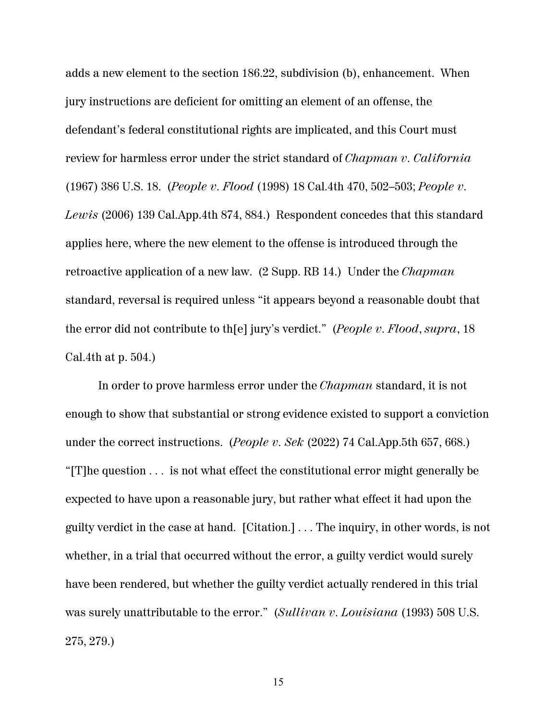adds a new element to the section 186.22, subdivision (b), enhancement. When jury instructions are deficient for omitting an element of an offense, the defendant's federal constitutional rights are implicated, and this Court must review for harmless error under the strict standard of *Chapman v. California* (1967) 386 U.S. 18. (*People v. Flood* (1998) 18 Cal.4th 470, 502–503; *People v. Lewis* (2006) 139 Cal.App.4th 874, 884.) Respondent concedes that this standard applies here, where the new element to the offense is introduced through the retroactive application of a new law. (2 Supp. RB 14.) Under the *Chapman* standard, reversal is required unless "it appears beyond a reasonable doubt that the error did not contribute to th[e] jury's verdict." (*People v. Flood*, *supra*, 18 Cal.4th at p. 504.)

In order to prove harmless error under the *Chapman* standard, it is not enough to show that substantial or strong evidence existed to support a conviction under the correct instructions. (*People v. Sek* (2022) 74 Cal.App.5th 657, 668.) "[T]he question . . . is not what effect the constitutional error might generally be expected to have upon a reasonable jury, but rather what effect it had upon the guilty verdict in the case at hand. [Citation.] . . . The inquiry, in other words, is not whether, in a trial that occurred without the error, a guilty verdict would surely have been rendered, but whether the guilty verdict actually rendered in this trial was surely unattributable to the error." (*Sullivan v. Louisiana* (1993) 508 U.S. 275, 279.)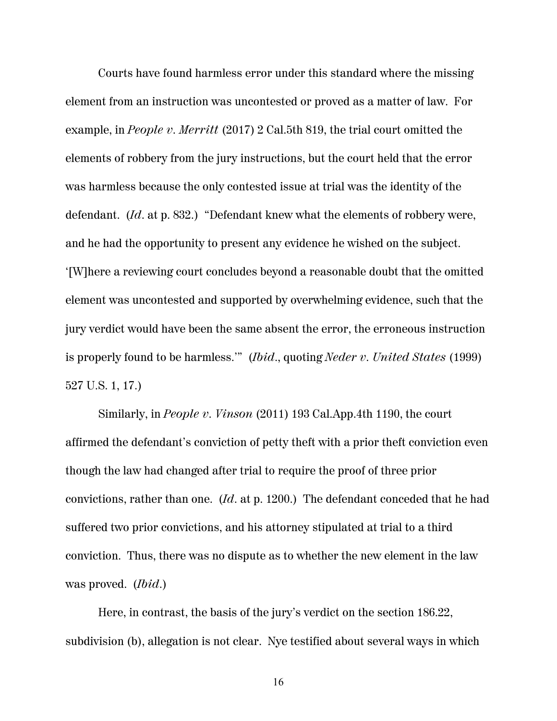Courts have found harmless error under this standard where the missing element from an instruction was uncontested or proved as a matter of law. For example, in *People v. Merritt* (2017) 2 Cal.5th 819, the trial court omitted the elements of robbery from the jury instructions, but the court held that the error was harmless because the only contested issue at trial was the identity of the defendant. (*Id*. at p. 832.) "Defendant knew what the elements of robbery were, and he had the opportunity to present any evidence he wished on the subject. '[W]here a reviewing court concludes beyond a reasonable doubt that the omitted element was uncontested and supported by overwhelming evidence, such that the jury verdict would have been the same absent the error, the erroneous instruction is properly found to be harmless.'" (*Ibid*., quoting *Neder v. United States* (1999) 527 U.S. 1, 17.)

Similarly, in *People v. Vinson* (2011) 193 Cal.App.4th 1190, the court affirmed the defendant's conviction of petty theft with a prior theft conviction even though the law had changed after trial to require the proof of three prior convictions, rather than one. (*Id*. at p. 1200.) The defendant conceded that he had suffered two prior convictions, and his attorney stipulated at trial to a third conviction. Thus, there was no dispute as to whether the new element in the law was proved. (*Ibid*.)

Here, in contrast, the basis of the jury's verdict on the section 186.22, subdivision (b), allegation is not clear. Nye testified about several ways in which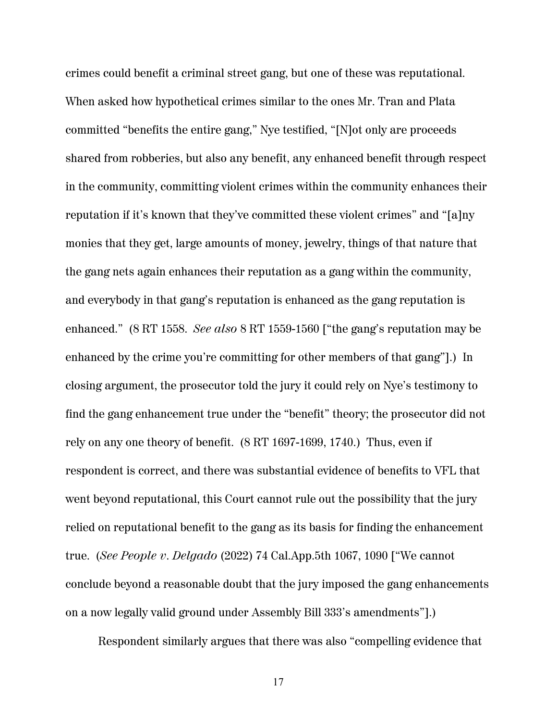crimes could benefit a criminal street gang, but one of these was reputational. When asked how hypothetical crimes similar to the ones Mr. Tran and Plata committed "benefits the entire gang," Nye testified, "[N]ot only are proceeds shared from robberies, but also any benefit, any enhanced benefit through respect in the community, committing violent crimes within the community enhances their reputation if it's known that they've committed these violent crimes" and "[a]ny monies that they get, large amounts of money, jewelry, things of that nature that the gang nets again enhances their reputation as a gang within the community, and everybody in that gang's reputation is enhanced as the gang reputation is enhanced." (8 RT 1558. *See also* 8 RT 1559-1560 ["the gang's reputation may be enhanced by the crime you're committing for other members of that gang"].) In closing argument, the prosecutor told the jury it could rely on Nye's testimony to find the gang enhancement true under the "benefit" theory; the prosecutor did not rely on any one theory of benefit. (8 RT 1697-1699, 1740.) Thus, even if respondent is correct, and there was substantial evidence of benefits to VFL that went beyond reputational, this Court cannot rule out the possibility that the jury relied on reputational benefit to the gang as its basis for finding the enhancement true. (*See People v. Delgado* (2022) 74 Cal.App.5th 1067, 1090 ["We cannot conclude beyond a reasonable doubt that the jury imposed the gang enhancements on a now legally valid ground under Assembly Bill 333's amendments"].)

Respondent similarly argues that there was also "compelling evidence that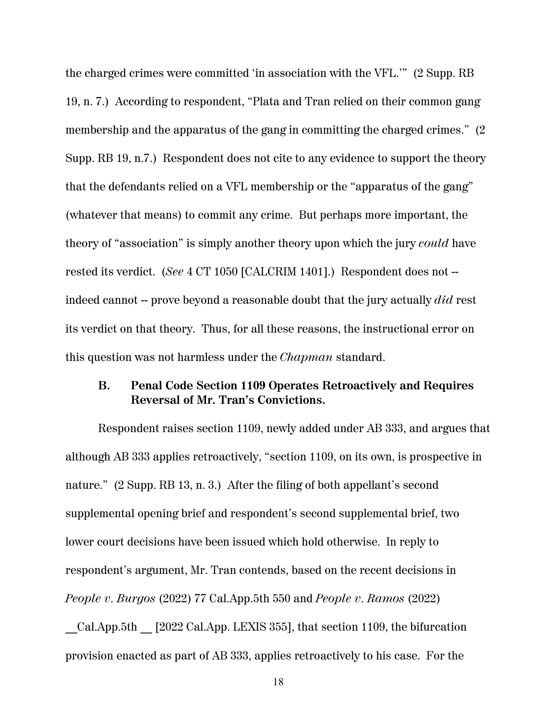the charged crimes were committed 'in association with the VFL.'" (2 Supp. RB 19, n. 7.) According to respondent, "Plata and Tran relied on their common gang membership and the apparatus of the gang in committing the charged crimes." (2 Supp. RB 19, n.7.) Respondent does not cite to any evidence to support the theory that the defendants relied on a VFL membership or the "apparatus of the gang" (whatever that means) to commit any crime. But perhaps more important, the theory of "association" is simply another theory upon which the jury *could* have rested its verdict. (*See* 4 CT 1050 [CALCRIM 1401].) Respondent does not - indeed cannot -- prove beyond a reasonable doubt that the jury actually *did* rest its verdict on that theory. Thus, for all these reasons, the instructional error on this question was not harmless under the *Chapman* standard.

#### **B. Penal Code Section 1109 Operates Retroactively and Requires Reversal of Mr. Tran's Convictions.**

Respondent raises section 1109, newly added under AB 333, and argues that although AB 333 applies retroactively, "section 1109, on its own, is prospective in nature." (2 Supp. RB 13, n. 3.) After the filing of both appellant's second supplemental opening brief and respondent's second supplemental brief, two lower court decisions have been issued which hold otherwise. In reply to respondent's argument, Mr. Tran contends, based on the recent decisions in *People v. Burgos* (2022) 77 Cal.App.5th 550 and *People v. Ramos* (2022)

\_\_Cal.App.5th \_\_ [2022 Cal.App. LEXIS 355], that section 1109, the bifurcation provision enacted as part of AB 333, applies retroactively to his case. For the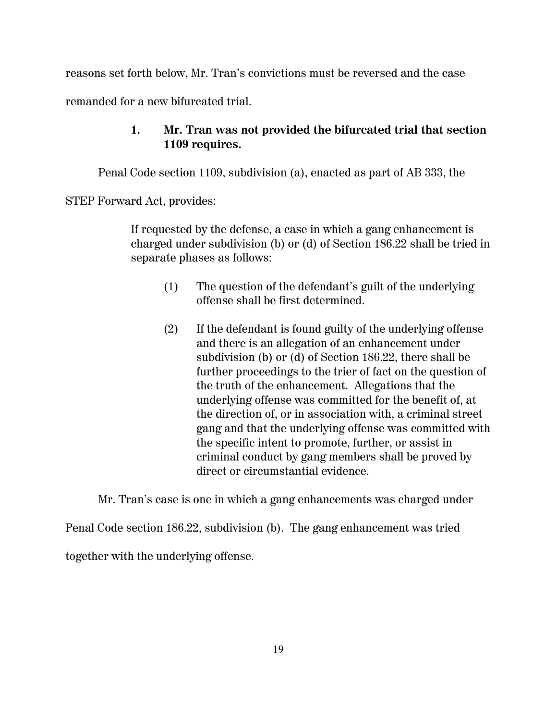reasons set forth below, Mr. Tran's convictions must be reversed and the case

remanded for a new bifurcated trial.

## **1. Mr. Tran was not provided the bifurcated trial that section 1109 requires.**

Penal Code section 1109, subdivision (a), enacted as part of AB 333, the

STEP Forward Act, provides:

If requested by the defense, a case in which a gang enhancement is charged under subdivision (b) or (d) of Section 186.22 shall be tried in separate phases as follows:

- (1) The question of the defendant's guilt of the underlying offense shall be first determined.
- (2) If the defendant is found guilty of the underlying offense and there is an allegation of an enhancement under subdivision (b) or (d) of Section 186.22, there shall be further proceedings to the trier of fact on the question of the truth of the enhancement. Allegations that the underlying offense was committed for the benefit of, at the direction of, or in association with, a criminal street gang and that the underlying offense was committed with the specific intent to promote, further, or assist in criminal conduct by gang members shall be proved by direct or circumstantial evidence.

Mr. Tran's case is one in which a gang enhancements was charged under

Penal Code section 186.22, subdivision (b). The gang enhancement was tried together with the underlying offense.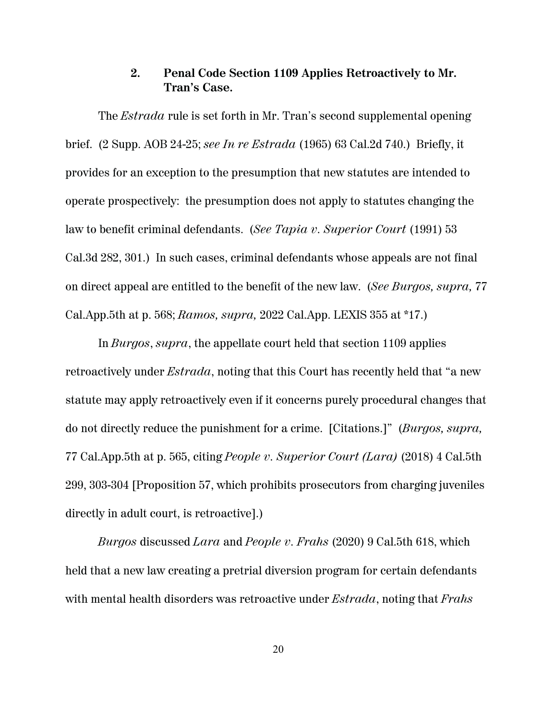#### **2. Penal Code Section 1109 Applies Retroactively to Mr. Tran's Case.**

The *Estrada* rule is set forth in Mr. Tran's second supplemental opening brief. (2 Supp. AOB 24-25; *see In re Estrada* (1965) 63 Cal.2d 740.) Briefly, it provides for an exception to the presumption that new statutes are intended to operate prospectively: the presumption does not apply to statutes changing the law to benefit criminal defendants. (*See Tapia v. Superior Court* (1991) 53 Cal.3d 282, 301.) In such cases, criminal defendants whose appeals are not final on direct appeal are entitled to the benefit of the new law. (*See Burgos, supra,* 77 Cal.App.5th at p. 568; *Ramos, supra,* 2022 Cal.App. LEXIS 355 at \*17.)

In *Burgos*, *supra*, the appellate court held that section 1109 applies retroactively under *Estrada*, noting that this Court has recently held that "a new statute may apply retroactively even if it concerns purely procedural changes that do not directly reduce the punishment for a crime. [Citations.]" (*Burgos, supra,* 77 Cal.App.5th at p. 565, citing *People v. Superior Court (Lara)* (2018) 4 Cal.5th 299, 303-304 [Proposition 57, which prohibits prosecutors from charging juveniles directly in adult court, is retroactive].)

*Burgos* discussed *Lara* and *People v. Frahs* (2020) 9 Cal.5th 618, which held that a new law creating a pretrial diversion program for certain defendants with mental health disorders was retroactive under *Estrada*, noting that *Frahs*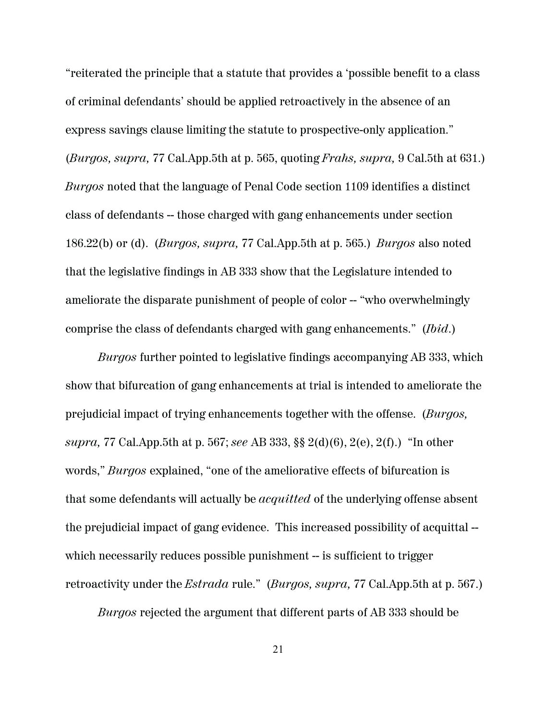"reiterated the principle that a statute that provides a 'possible benefit to a class of criminal defendants' should be applied retroactively in the absence of an express savings clause limiting the statute to prospective-only application." (*Burgos, supra,* 77 Cal.App.5th at p. 565, quoting *Frahs, supra,* 9 Cal.5th at 631.) *Burgos* noted that the language of Penal Code section 1109 identifies a distinct class of defendants -- those charged with gang enhancements under section 186.22(b) or (d). (*Burgos, supra,* 77 Cal.App.5th at p. 565.) *Burgos* also noted that the legislative findings in AB 333 show that the Legislature intended to ameliorate the disparate punishment of people of color -- "who overwhelmingly comprise the class of defendants charged with gang enhancements." (*Ibid*.)

*Burgos* further pointed to legislative findings accompanying AB 333, which show that bifurcation of gang enhancements at trial is intended to ameliorate the prejudicial impact of trying enhancements together with the offense. (*Burgos, supra,* 77 Cal.App.5th at p. 567; *see* AB 333, §§ 2(d)(6), 2(e), 2(f).) "In other words," *Burgos* explained, "one of the ameliorative effects of bifurcation is that some defendants will actually be *acquitted* of the underlying offense absent the prejudicial impact of gang evidence. This increased possibility of acquittal - which necessarily reduces possible punishment -- is sufficient to trigger retroactivity under the *Estrada* rule." (*Burgos, supra,* 77 Cal.App.5th at p. 567.)

*Burgos* rejected the argument that different parts of AB 333 should be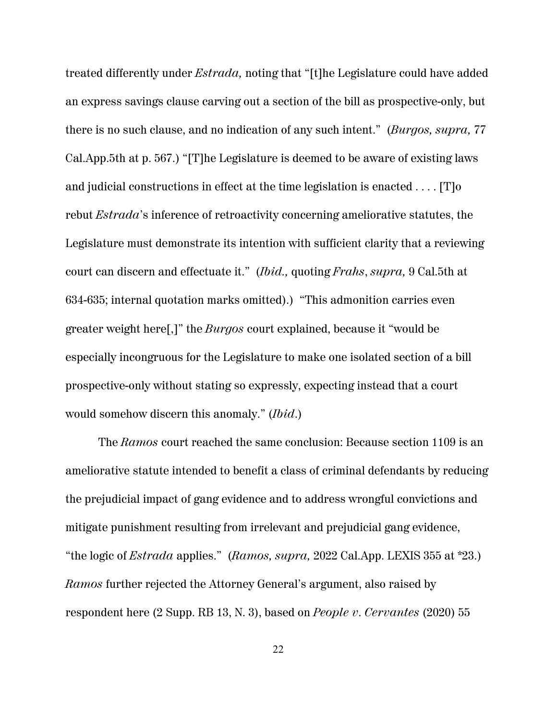treated differently under *Estrada,* noting that "[t]he Legislature could have added an express savings clause carving out a section of the bill as prospective-only, but there is no such clause, and no indication of any such intent." (*Burgos, supra,* 77 Cal.App.5th at p. 567.) "[T]he Legislature is deemed to be aware of existing laws and judicial constructions in effect at the time legislation is enacted . . . . [T]o rebut *Estrada*'s inference of retroactivity concerning ameliorative statutes, the Legislature must demonstrate its intention with sufficient clarity that a reviewing court can discern and effectuate it." (*Ibid.,* quoting *Frahs*, *supra,* 9 Cal.5th at 634-635; internal quotation marks omitted).) "This admonition carries even greater weight here[,]" the *Burgos* court explained, because it "would be especially incongruous for the Legislature to make one isolated section of a bill prospective-only without stating so expressly, expecting instead that a court would somehow discern this anomaly." (*Ibid*.)

The *Ramos* court reached the same conclusion: Because section 1109 is an ameliorative statute intended to benefit a class of criminal defendants by reducing the prejudicial impact of gang evidence and to address wrongful convictions and mitigate punishment resulting from irrelevant and prejudicial gang evidence, "the logic of *Estrada* applies." (*Ramos, supra,* 2022 Cal.App. LEXIS 355 at \*23.) *Ramos* further rejected the Attorney General's argument, also raised by respondent here (2 Supp. RB 13, N. 3), based on *People v. Cervantes* (2020) 55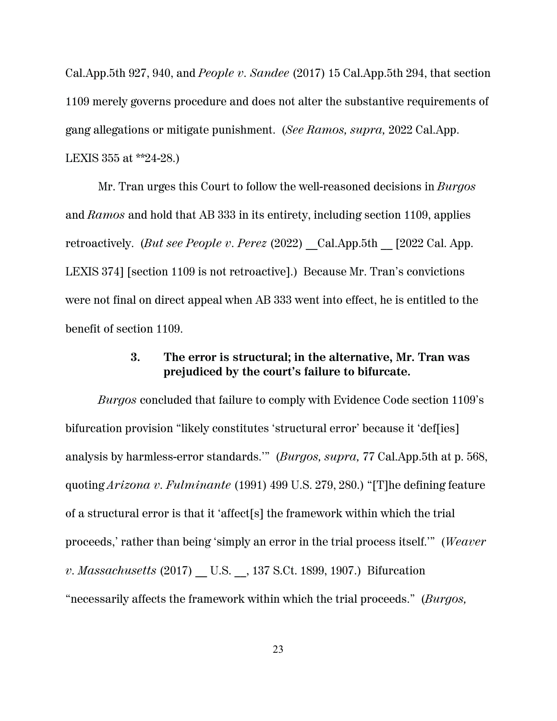Cal.App.5th 927, 940, and *People v. Sandee* (2017) 15 Cal.App.5th 294, that section 1109 merely governs procedure and does not alter the substantive requirements of gang allegations or mitigate punishment. (*See Ramos, supra,* 2022 Cal.App. LEXIS 355 at \*\*24-28.)

Mr. Tran urges this Court to follow the well-reasoned decisions in *Burgos* and *Ramos* and hold that AB 333 in its entirety, including section 1109, applies retroactively. (*But see People v. Perez* (2022) Cal.App.5th [2022 Cal. App. LEXIS 374] [section 1109 is not retroactive].) Because Mr. Tran's convictions were not final on direct appeal when AB 333 went into effect, he is entitled to the benefit of section 1109.

#### **3. The error is structural; in the alternative, Mr. Tran was prejudiced by the court's failure to bifurcate.**

*Burgos* concluded that failure to comply with Evidence Code section 1109's bifurcation provision "likely constitutes 'structural error' because it 'def[ies] analysis by harmless-error standards.'" (*Burgos, supra,* 77 Cal.App.5th at p. 568, quoting *Arizona v. Fulminante* (1991) 499 U.S. 279, 280.) "[T]he defining feature of a structural error is that it 'affect[s] the framework within which the trial proceeds,' rather than being 'simply an error in the trial process itself.'" (*Weaver v. Massachusetts* (2017) U.S. , 137 S.Ct. 1899, 1907.) Bifurcation "necessarily affects the framework within which the trial proceeds." (*Burgos,*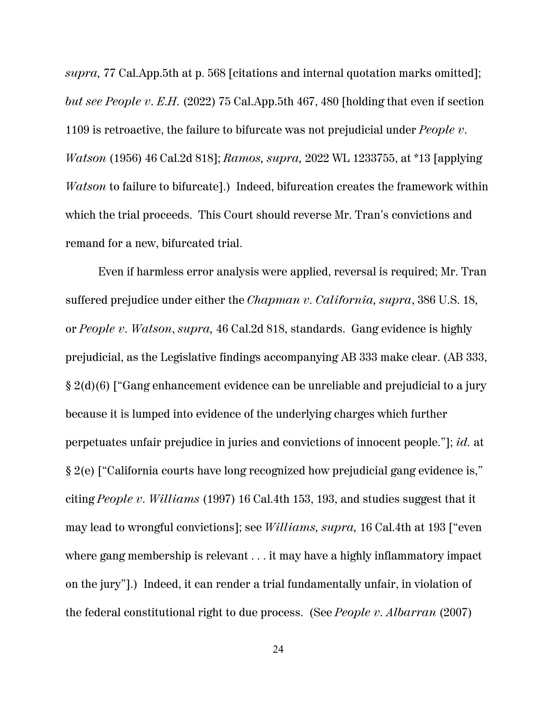*supra,* 77 Cal.App.5th at p. 568 [citations and internal quotation marks omitted]; *but see People v. E.H.* (2022) 75 Cal.App.5th 467, 480 [holding that even if section 1109 is retroactive, the failure to bifurcate was not prejudicial under *People v. Watson* (1956) 46 Cal.2d 818]; *Ramos, supra,* 2022 WL 1233755, at \*13 [applying *Watson* to failure to bifurcate].) Indeed, bifurcation creates the framework within which the trial proceeds. This Court should reverse Mr. Tran's convictions and remand for a new, bifurcated trial.

Even if harmless error analysis were applied, reversal is required; Mr. Tran suffered prejudice under either the *Chapman v. California, supra*, 386 U.S. 18, or *People v. Watson*, *supra,* 46 Cal.2d 818, standards. Gang evidence is highly prejudicial, as the Legislative findings accompanying AB 333 make clear. (AB 333, § 2(d)(6) ["Gang enhancement evidence can be unreliable and prejudicial to a jury because it is lumped into evidence of the underlying charges which further perpetuates unfair prejudice in juries and convictions of innocent people."]; *id.* at § 2(e) ["California courts have long recognized how prejudicial gang evidence is," citing *People v. Williams* (1997) 16 Cal.4th 153, 193, and studies suggest that it may lead to wrongful convictions]; see *Williams, supra,* 16 Cal.4th at 193 ["even where gang membership is relevant . . . it may have a highly inflammatory impact on the jury"].) Indeed, it can render a trial fundamentally unfair, in violation of the federal constitutional right to due process. (See *People v. Albarran* (2007)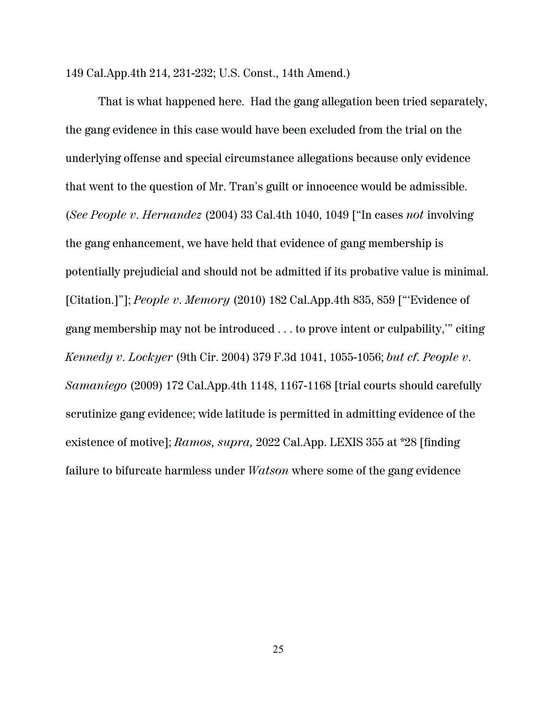149 Cal.App.4th 214, 231-232; U.S. Const., 14th Amend.)

That is what happened here. Had the gang allegation been tried separately, the gang evidence in this case would have been excluded from the trial on the underlying offense and special circumstance allegations because only evidence that went to the question of Mr. Tran's guilt or innocence would be admissible. (*See People v. Hernandez* (2004) 33 Cal.4th 1040, 1049 ["In cases *not* involving the gang enhancement, we have held that evidence of gang membership is potentially prejudicial and should not be admitted if its probative value is minimal. [Citation.]"]; *People v. Memory* (2010) 182 Cal.App.4th 835, 859 ["'Evidence of gang membership may not be introduced . . . to prove intent or culpability,'" citing *Kennedy v. Lockyer* (9th Cir. 2004) 379 F.3d 1041, 1055-1056; *but cf. People v. Samaniego* (2009) 172 Cal.App.4th 1148, 1167-1168 [trial courts should carefully scrutinize gang evidence; wide latitude is permitted in admitting evidence of the existence of motive]; *Ramos, supra,* 2022 Cal.App. LEXIS 355 at \*28 [finding failure to bifurcate harmless under *Watson* where some of the gang evidence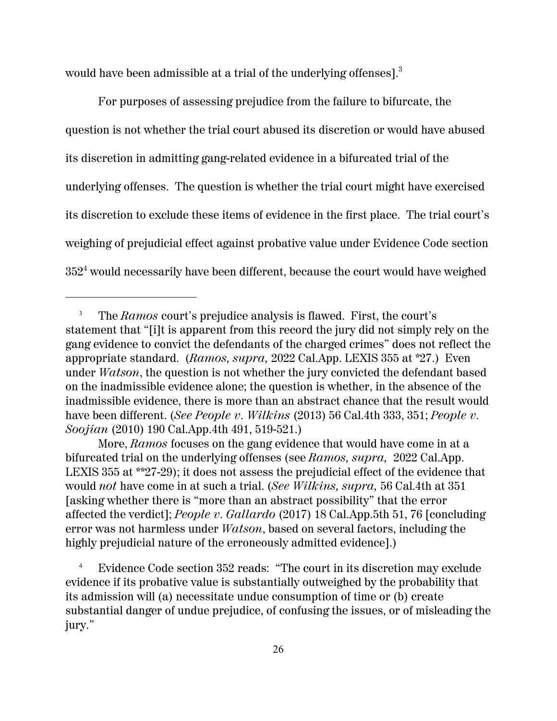would have been admissible at a trial of the underlying offenses].<sup>3</sup>

For purposes of assessing prejudice from the failure to bifurcate, the question is not whether the trial court abused its discretion or would have abused its discretion in admitting gang-related evidence in a bifurcated trial of the underlying offenses. The question is whether the trial court might have exercised its discretion to exclude these items of evidence in the first place. The trial court's weighing of prejudicial effect against probative value under Evidence Code section  $352^4$  would necessarily have been different, because the court would have weighed

<sup>3</sup> The *Ramos* court's prejudice analysis is flawed. First, the court's statement that "[i]t is apparent from this record the jury did not simply rely on the gang evidence to convict the defendants of the charged crimes" does not reflect the appropriate standard. (*Ramos, supra,* 2022 Cal.App. LEXIS 355 at \*27.) Even under *Watson*, the question is not whether the jury convicted the defendant based on the inadmissible evidence alone; the question is whether, in the absence of the inadmissible evidence, there is more than an abstract chance that the result would have been different. (*See People v. Wilkins* (2013) 56 Cal.4th 333, 351; *People v. Soojian* (2010) 190 Cal.App.4th 491, 519-521.)

More, *Ramos* focuses on the gang evidence that would have come in at a bifurcated trial on the underlying offenses (see *Ramos, supra,* 2022 Cal.App. LEXIS 355 at \*\*27-29); it does not assess the prejudicial effect of the evidence that would *not* have come in at such a trial. (*See Wilkins, supra,* 56 Cal.4th at 351 [asking whether there is "more than an abstract possibility" that the error affected the verdict]; *People v. Gallardo* (2017) 18 Cal.App.5th 51, 76 [concluding error was not harmless under *Watson*, based on several factors, including the highly prejudicial nature of the erroneously admitted evidence].)

<sup>&</sup>lt;sup>4</sup> Evidence Code section 352 reads: "The court in its discretion may exclude evidence if its probative value is substantially outweighed by the probability that its admission will (a) necessitate undue consumption of time or (b) create substantial danger of undue prejudice, of confusing the issues, or of misleading the jury."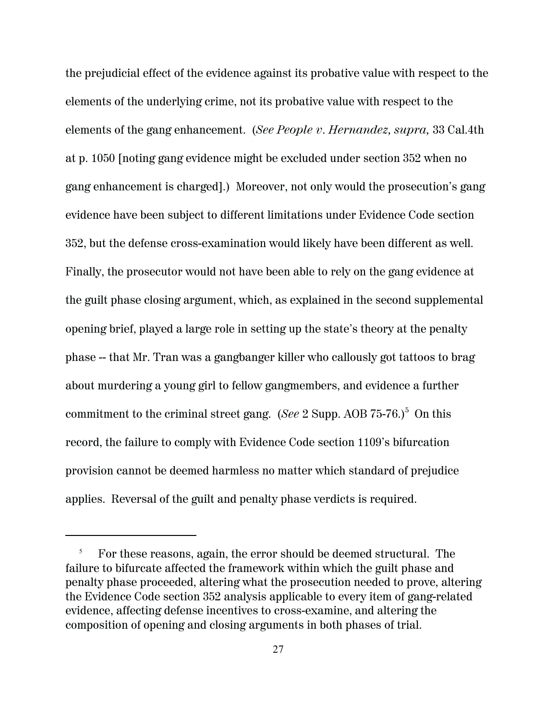the prejudicial effect of the evidence against its probative value with respect to the elements of the underlying crime, not its probative value with respect to the elements of the gang enhancement. (*See People v. Hernandez, supra,* 33 Cal.4th at p. 1050 [noting gang evidence might be excluded under section 352 when no gang enhancement is charged].) Moreover, not only would the prosecution's gang evidence have been subject to different limitations under Evidence Code section 352, but the defense cross-examination would likely have been different as well. Finally, the prosecutor would not have been able to rely on the gang evidence at the guilt phase closing argument, which, as explained in the second supplemental opening brief, played a large role in setting up the state's theory at the penalty phase -- that Mr. Tran was a gangbanger killer who callously got tattoos to brag about murdering a young girl to fellow gangmembers, and evidence a further commitment to the criminal street gang. (*See* 2 Supp. AOB 75-76.)<sup>5</sup> On this record, the failure to comply with Evidence Code section 1109's bifurcation provision cannot be deemed harmless no matter which standard of prejudice applies. Reversal of the guilt and penalty phase verdicts is required.

<sup>5</sup> For these reasons, again, the error should be deemed structural. The failure to bifurcate affected the framework within which the guilt phase and penalty phase proceeded, altering what the prosecution needed to prove, altering the Evidence Code section 352 analysis applicable to every item of gang-related evidence, affecting defense incentives to cross-examine, and altering the composition of opening and closing arguments in both phases of trial.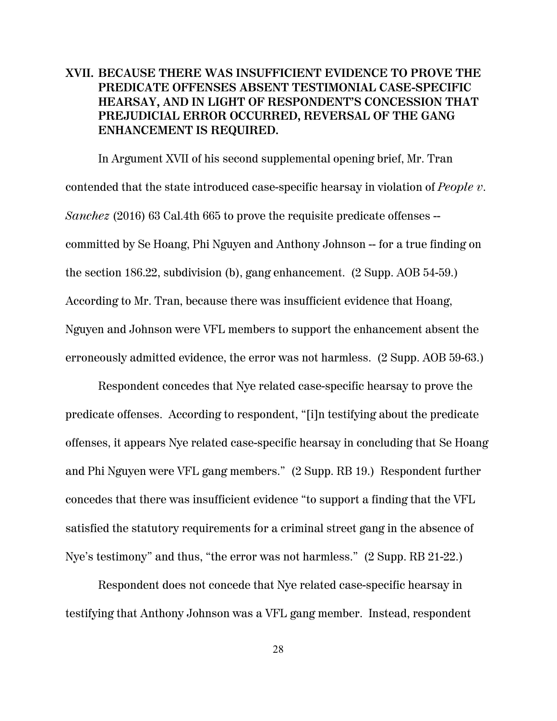## **XVII. BECAUSE THERE WAS INSUFFICIENT EVIDENCE TO PROVE THE PREDICATE OFFENSES ABSENT TESTIMONIAL CASE-SPECIFIC HEARSAY, AND IN LIGHT OF RESPONDENT'S CONCESSION THAT PREJUDICIAL ERROR OCCURRED, REVERSAL OF THE GANG ENHANCEMENT IS REQUIRED.**

In Argument XVII of his second supplemental opening brief, Mr. Tran contended that the state introduced case-specific hearsay in violation of *People v. Sanchez* (2016) 63 Cal.4th 665 to prove the requisite predicate offenses -committed by Se Hoang, Phi Nguyen and Anthony Johnson -- for a true finding on the section 186.22, subdivision (b), gang enhancement. (2 Supp. AOB 54-59.) According to Mr. Tran, because there was insufficient evidence that Hoang, Nguyen and Johnson were VFL members to support the enhancement absent the erroneously admitted evidence, the error was not harmless. (2 Supp. AOB 59-63.)

Respondent concedes that Nye related case-specific hearsay to prove the predicate offenses. According to respondent, "[i]n testifying about the predicate offenses, it appears Nye related case-specific hearsay in concluding that Se Hoang and Phi Nguyen were VFL gang members." (2 Supp. RB 19.) Respondent further concedes that there was insufficient evidence "to support a finding that the VFL satisfied the statutory requirements for a criminal street gang in the absence of Nye's testimony" and thus, "the error was not harmless." (2 Supp. RB 21-22.)

Respondent does not concede that Nye related case-specific hearsay in testifying that Anthony Johnson was a VFL gang member. Instead, respondent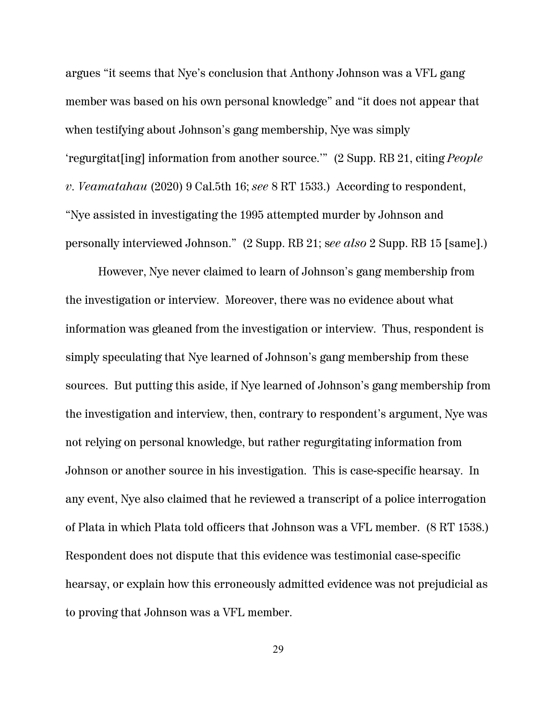argues "it seems that Nye's conclusion that Anthony Johnson was a VFL gang member was based on his own personal knowledge" and "it does not appear that when testifying about Johnson's gang membership, Nye was simply 'regurgitat[ing] information from another source.'" (2 Supp. RB 21, citing *People v. Veamatahau* (2020) 9 Cal.5th 16; *see* 8 RT 1533.) According to respondent, "Nye assisted in investigating the 1995 attempted murder by Johnson and personally interviewed Johnson." (2 Supp. RB 21; s*ee also* 2 Supp. RB 15 [same].)

However, Nye never claimed to learn of Johnson's gang membership from the investigation or interview. Moreover, there was no evidence about what information was gleaned from the investigation or interview. Thus, respondent is simply speculating that Nye learned of Johnson's gang membership from these sources. But putting this aside, if Nye learned of Johnson's gang membership from the investigation and interview, then, contrary to respondent's argument, Nye was not relying on personal knowledge, but rather regurgitating information from Johnson or another source in his investigation. This is case-specific hearsay. In any event, Nye also claimed that he reviewed a transcript of a police interrogation of Plata in which Plata told officers that Johnson was a VFL member. (8 RT 1538.) Respondent does not dispute that this evidence was testimonial case-specific hearsay, or explain how this erroneously admitted evidence was not prejudicial as to proving that Johnson was a VFL member.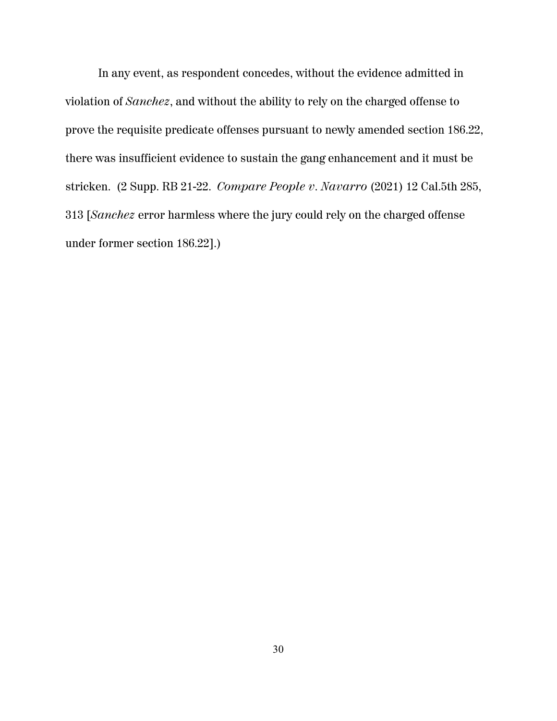In any event, as respondent concedes, without the evidence admitted in violation of *Sanchez*, and without the ability to rely on the charged offense to prove the requisite predicate offenses pursuant to newly amended section 186.22, there was insufficient evidence to sustain the gang enhancement and it must be stricken. (2 Supp. RB 21-22. *Compare People v. Navarro* (2021) 12 Cal.5th 285, 313 [*Sanchez* error harmless where the jury could rely on the charged offense under former section 186.22].)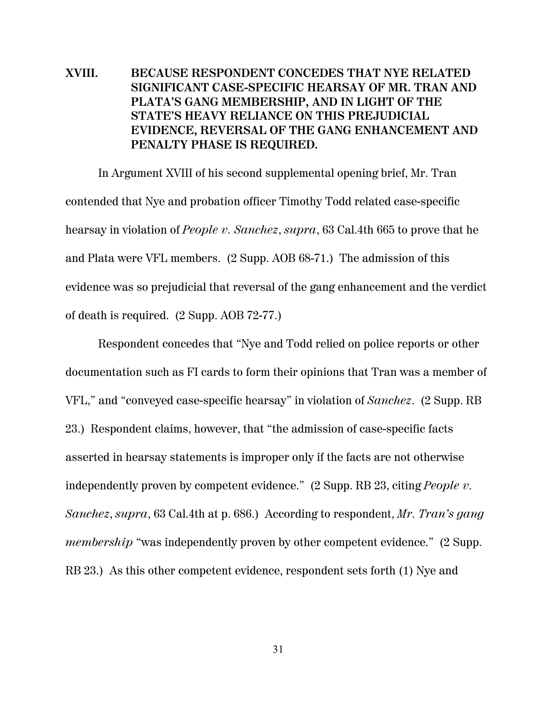## **XVIII. BECAUSE RESPONDENT CONCEDES THAT NYE RELATED SIGNIFICANT CASE-SPECIFIC HEARSAY OF MR. TRAN AND PLATA'S GANG MEMBERSHIP, AND IN LIGHT OF THE STATE'S HEAVY RELIANCE ON THIS PREJUDICIAL EVIDENCE, REVERSAL OF THE GANG ENHANCEMENT AND PENALTY PHASE IS REQUIRED.**

In Argument XVIII of his second supplemental opening brief, Mr. Tran contended that Nye and probation officer Timothy Todd related case-specific hearsay in violation of *People v. Sanchez*, *supra*, 63 Cal.4th 665 to prove that he and Plata were VFL members. (2 Supp. AOB 68-71.) The admission of this evidence was so prejudicial that reversal of the gang enhancement and the verdict of death is required. (2 Supp. AOB 72-77.)

Respondent concedes that "Nye and Todd relied on police reports or other documentation such as FI cards to form their opinions that Tran was a member of VFL," and "conveyed case-specific hearsay" in violation of *Sanchez*. (2 Supp. RB 23.) Respondent claims, however, that "the admission of case-specific facts asserted in hearsay statements is improper only if the facts are not otherwise independently proven by competent evidence." (2 Supp. RB 23, citing *People v. Sanchez*, *supra*, 63 Cal.4th at p. 686.) According to respondent, *Mr. Tran's gang membership* "was independently proven by other competent evidence." (2 Supp. RB 23.) As this other competent evidence, respondent sets forth (1) Nye and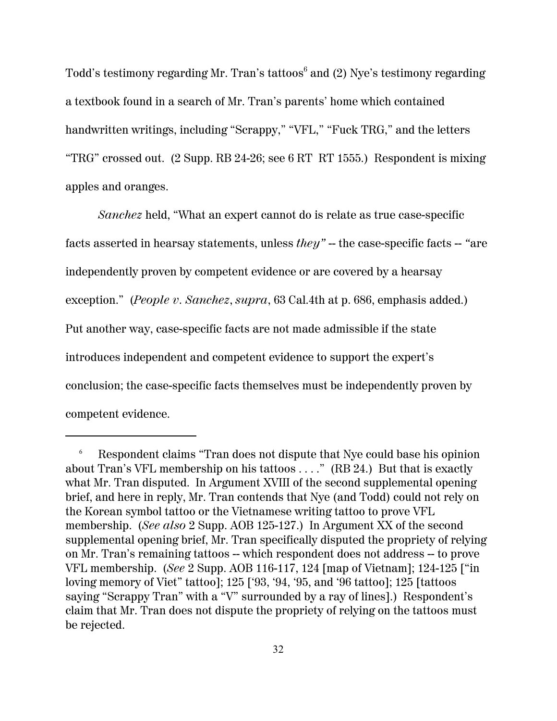Todd's testimony regarding Mr. Tran's tattoos 6 and (2) Nye's testimony regarding a textbook found in a search of Mr. Tran's parents' home which contained handwritten writings, including "Scrappy," "VFL," "Fuck TRG," and the letters "TRG" crossed out. (2 Supp. RB 24-26; see 6 RT RT 1555.) Respondent is mixing apples and oranges.

*Sanchez* held, "What an expert cannot do is relate as true case-specific facts asserted in hearsay statements, unless *they"* -- the case-specific facts -- *"*are independently proven by competent evidence or are covered by a hearsay exception." (*People v. Sanchez*, *supra*, 63 Cal.4th at p. 686, emphasis added.) Put another way, case-specific facts are not made admissible if the state introduces independent and competent evidence to support the expert's conclusion; the case-specific facts themselves must be independently proven by competent evidence.

<sup>6</sup> Respondent claims "Tran does not dispute that Nye could base his opinion about Tran's VFL membership on his tattoos . . . ." (RB 24.) But that is exactly what Mr. Tran disputed. In Argument XVIII of the second supplemental opening brief, and here in reply, Mr. Tran contends that Nye (and Todd) could not rely on the Korean symbol tattoo or the Vietnamese writing tattoo to prove VFL membership. (*See also* 2 Supp. AOB 125-127.) In Argument XX of the second supplemental opening brief, Mr. Tran specifically disputed the propriety of relying on Mr. Tran's remaining tattoos -- which respondent does not address -- to prove VFL membership. (*See* 2 Supp. AOB 116-117, 124 [map of Vietnam]; 124-125 ["in loving memory of Viet" tattoo]; 125 ['93, '94, '95, and '96 tattoo]; 125 [tattoos saying "Scrappy Tran" with a "V" surrounded by a ray of lines].) Respondent's claim that Mr. Tran does not dispute the propriety of relying on the tattoos must be rejected.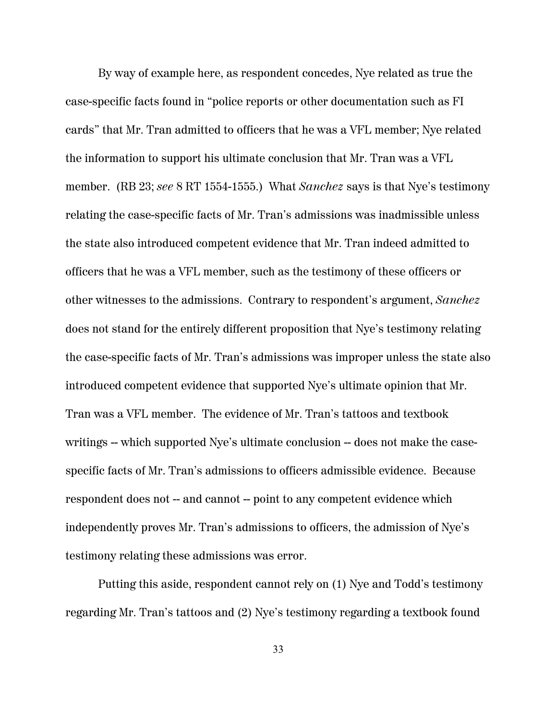By way of example here, as respondent concedes, Nye related as true the case-specific facts found in "police reports or other documentation such as FI cards" that Mr. Tran admitted to officers that he was a VFL member; Nye related the information to support his ultimate conclusion that Mr. Tran was a VFL member. (RB 23; *see* 8 RT 1554-1555.) What *Sanchez* says is that Nye's testimony relating the case-specific facts of Mr. Tran's admissions was inadmissible unless the state also introduced competent evidence that Mr. Tran indeed admitted to officers that he was a VFL member, such as the testimony of these officers or other witnesses to the admissions. Contrary to respondent's argument, *Sanchez* does not stand for the entirely different proposition that Nye's testimony relating the case-specific facts of Mr. Tran's admissions was improper unless the state also introduced competent evidence that supported Nye's ultimate opinion that Mr. Tran was a VFL member. The evidence of Mr. Tran's tattoos and textbook writings -- which supported Nye's ultimate conclusion -- does not make the casespecific facts of Mr. Tran's admissions to officers admissible evidence. Because respondent does not -- and cannot -- point to any competent evidence which independently proves Mr. Tran's admissions to officers, the admission of Nye's testimony relating these admissions was error.

Putting this aside, respondent cannot rely on (1) Nye and Todd's testimony regarding Mr. Tran's tattoos and (2) Nye's testimony regarding a textbook found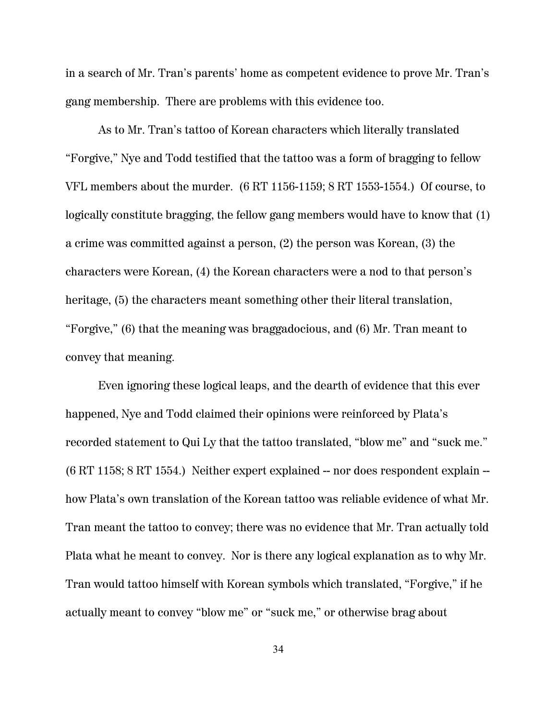in a search of Mr. Tran's parents' home as competent evidence to prove Mr. Tran's gang membership. There are problems with this evidence too.

As to Mr. Tran's tattoo of Korean characters which literally translated "Forgive," Nye and Todd testified that the tattoo was a form of bragging to fellow VFL members about the murder. (6 RT 1156-1159; 8 RT 1553-1554.) Of course, to logically constitute bragging, the fellow gang members would have to know that (1) a crime was committed against a person, (2) the person was Korean, (3) the characters were Korean, (4) the Korean characters were a nod to that person's heritage, (5) the characters meant something other their literal translation, "Forgive," (6) that the meaning was braggadocious, and (6) Mr. Tran meant to convey that meaning.

Even ignoring these logical leaps, and the dearth of evidence that this ever happened, Nye and Todd claimed their opinions were reinforced by Plata's recorded statement to Qui Ly that the tattoo translated, "blow me" and "suck me."  $(6 RT 1158; 8 RT 1554.)$  Neither expert explained  $-$  nor does respondent explain  $$ how Plata's own translation of the Korean tattoo was reliable evidence of what Mr. Tran meant the tattoo to convey; there was no evidence that Mr. Tran actually told Plata what he meant to convey. Nor is there any logical explanation as to why Mr. Tran would tattoo himself with Korean symbols which translated, "Forgive," if he actually meant to convey "blow me" or "suck me," or otherwise brag about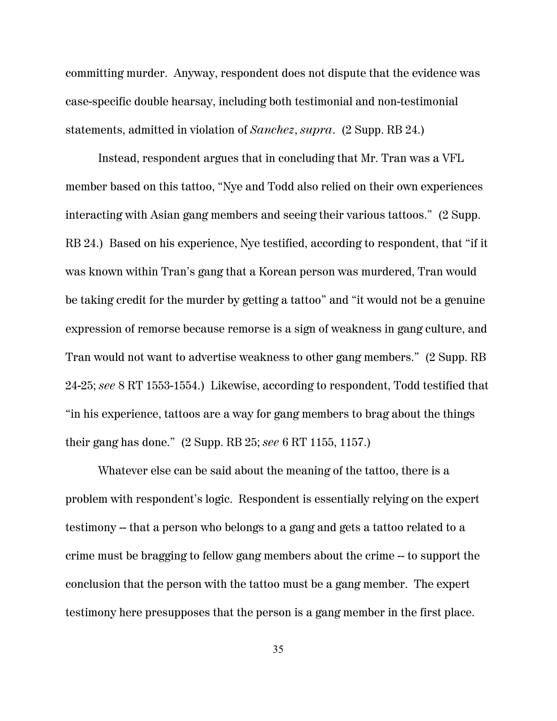committing murder. Anyway, respondent does not dispute that the evidence was case-specific double hearsay, including both testimonial and non-testimonial statements, admitted in violation of *Sanchez*, *supra*. (2 Supp. RB 24.)

Instead, respondent argues that in concluding that Mr. Tran was a VFL member based on this tattoo, "Nye and Todd also relied on their own experiences interacting with Asian gang members and seeing their various tattoos." (2 Supp. RB 24.) Based on his experience, Nye testified, according to respondent, that "if it was known within Tran's gang that a Korean person was murdered, Tran would be taking credit for the murder by getting a tattoo" and "it would not be a genuine expression of remorse because remorse is a sign of weakness in gang culture, and Tran would not want to advertise weakness to other gang members." (2 Supp. RB 24-25; *see* 8 RT 1553-1554.) Likewise, according to respondent, Todd testified that "in his experience, tattoos are a way for gang members to brag about the things their gang has done." (2 Supp. RB 25; *see* 6 RT 1155, 1157.)

Whatever else can be said about the meaning of the tattoo, there is a problem with respondent's logic. Respondent is essentially relying on the expert testimony -- that a person who belongs to a gang and gets a tattoo related to a crime must be bragging to fellow gang members about the crime -- to support the conclusion that the person with the tattoo must be a gang member. The expert testimony here presupposes that the person is a gang member in the first place.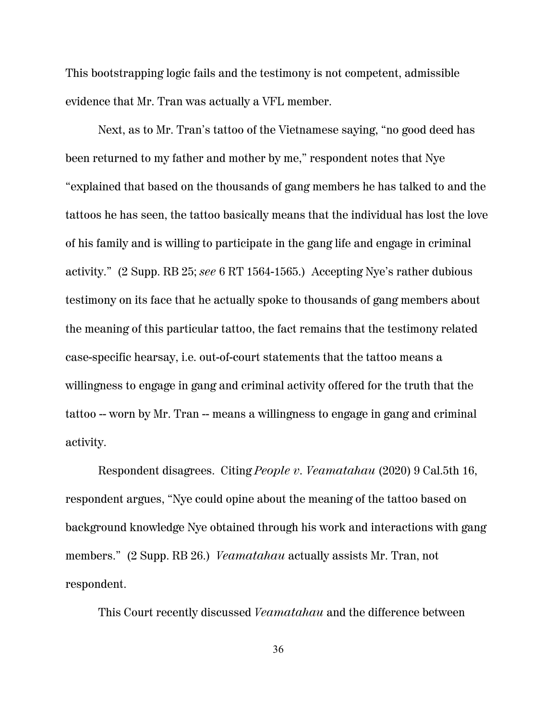This bootstrapping logic fails and the testimony is not competent, admissible evidence that Mr. Tran was actually a VFL member.

Next, as to Mr. Tran's tattoo of the Vietnamese saying, "no good deed has been returned to my father and mother by me," respondent notes that Nye "explained that based on the thousands of gang members he has talked to and the tattoos he has seen, the tattoo basically means that the individual has lost the love of his family and is willing to participate in the gang life and engage in criminal activity." (2 Supp. RB 25; *see* 6 RT 1564-1565.) Accepting Nye's rather dubious testimony on its face that he actually spoke to thousands of gang members about the meaning of this particular tattoo, the fact remains that the testimony related case-specific hearsay, i.e. out-of-court statements that the tattoo means a willingness to engage in gang and criminal activity offered for the truth that the tattoo -- worn by Mr. Tran -- means a willingness to engage in gang and criminal activity.

Respondent disagrees. Citing *People v. Veamatahau* (2020) 9 Cal.5th 16, respondent argues, "Nye could opine about the meaning of the tattoo based on background knowledge Nye obtained through his work and interactions with gang members." (2 Supp. RB 26.) *Veamatahau* actually assists Mr. Tran, not respondent.

This Court recently discussed *Veamatahau* and the difference between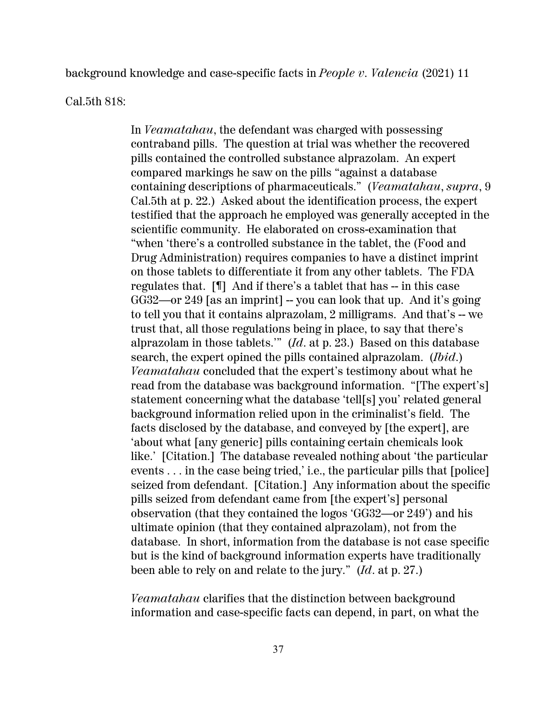background knowledge and case-specific facts in *People v. Valencia* (2021) 11

Cal.5th 818:

In *Veamatahau*, the defendant was charged with possessing contraband pills. The question at trial was whether the recovered pills contained the controlled substance alprazolam. An expert compared markings he saw on the pills "against a database containing descriptions of pharmaceuticals." (*Veamatahau*, *supra*, 9 Cal.5th at p. 22.) Asked about the identification process, the expert testified that the approach he employed was generally accepted in the scientific community. He elaborated on cross-examination that "when 'there's a controlled substance in the tablet, the (Food and Drug Administration) requires companies to have a distinct imprint on those tablets to differentiate it from any other tablets. The FDA regulates that. [¶] And if there's a tablet that has -- in this case GG32—or 249 [as an imprint] -- you can look that up. And it's going to tell you that it contains alprazolam, 2 milligrams. And that's -- we trust that, all those regulations being in place, to say that there's alprazolam in those tablets.'" (*Id*. at p. 23.) Based on this database search, the expert opined the pills contained alprazolam. (*Ibid*.) *Veamatahau* concluded that the expert's testimony about what he read from the database was background information. "[The expert's] statement concerning what the database 'tell[s] you' related general background information relied upon in the criminalist's field. The facts disclosed by the database, and conveyed by [the expert], are 'about what [any generic] pills containing certain chemicals look like.' [Citation.] The database revealed nothing about 'the particular events . . . in the case being tried,' i.e., the particular pills that [police] seized from defendant. [Citation.] Any information about the specific pills seized from defendant came from [the expert's] personal observation (that they contained the logos 'GG32—or 249') and his ultimate opinion (that they contained alprazolam), not from the database. In short, information from the database is not case specific but is the kind of background information experts have traditionally been able to rely on and relate to the jury." (*Id*. at p. 27.)

*Veamatahau* clarifies that the distinction between background information and case-specific facts can depend, in part, on what the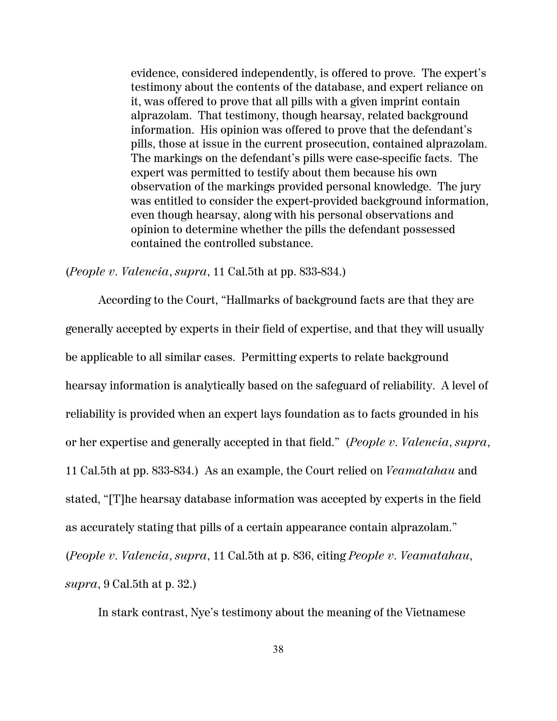evidence, considered independently, is offered to prove. The expert's testimony about the contents of the database, and expert reliance on it, was offered to prove that all pills with a given imprint contain alprazolam. That testimony, though hearsay, related background information. His opinion was offered to prove that the defendant's pills, those at issue in the current prosecution, contained alprazolam. The markings on the defendant's pills were case-specific facts. The expert was permitted to testify about them because his own observation of the markings provided personal knowledge. The jury was entitled to consider the expert-provided background information, even though hearsay, along with his personal observations and opinion to determine whether the pills the defendant possessed contained the controlled substance.

(*People v. Valencia*, *supra*, 11 Cal.5th at pp. 833-834.)

According to the Court, "Hallmarks of background facts are that they are generally accepted by experts in their field of expertise, and that they will usually be applicable to all similar cases. Permitting experts to relate background hearsay information is analytically based on the safeguard of reliability. A level of reliability is provided when an expert lays foundation as to facts grounded in his or her expertise and generally accepted in that field." (*People v. Valencia*, *supra*, 11 Cal.5th at pp. 833-834.) As an example, the Court relied on *Veamatahau* and stated, "[T]he hearsay database information was accepted by experts in the field as accurately stating that pills of a certain appearance contain alprazolam." (*People v. Valencia*, *supra*, 11 Cal.5th at p. 836, citing *People v. Veamatahau*, *supra*, 9 Cal.5th at p. 32.)

In stark contrast, Nye's testimony about the meaning of the Vietnamese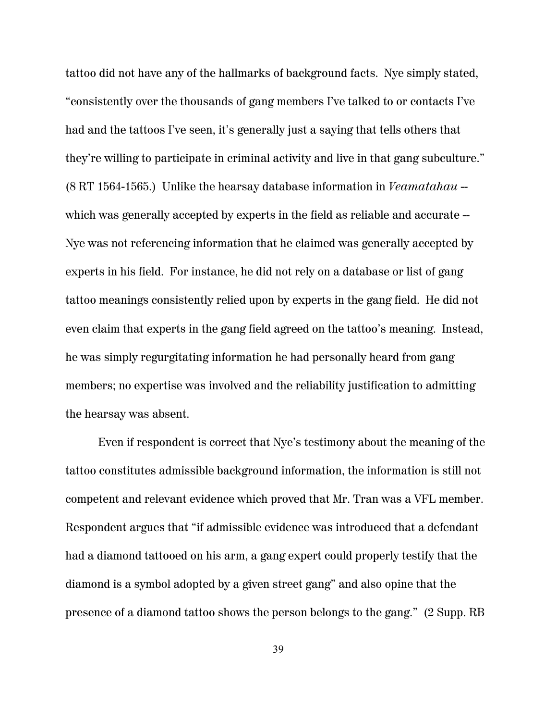tattoo did not have any of the hallmarks of background facts. Nye simply stated, "consistently over the thousands of gang members I've talked to or contacts I've had and the tattoos I've seen, it's generally just a saying that tells others that they're willing to participate in criminal activity and live in that gang subculture." (8 RT 1564-1565.) Unlike the hearsay database information in *Veamatahau* - which was generally accepted by experts in the field as reliable and accurate  $-$ Nye was not referencing information that he claimed was generally accepted by experts in his field. For instance, he did not rely on a database or list of gang tattoo meanings consistently relied upon by experts in the gang field. He did not even claim that experts in the gang field agreed on the tattoo's meaning. Instead, he was simply regurgitating information he had personally heard from gang members; no expertise was involved and the reliability justification to admitting the hearsay was absent.

Even if respondent is correct that Nye's testimony about the meaning of the tattoo constitutes admissible background information, the information is still not competent and relevant evidence which proved that Mr. Tran was a VFL member. Respondent argues that "if admissible evidence was introduced that a defendant had a diamond tattooed on his arm, a gang expert could properly testify that the diamond is a symbol adopted by a given street gang" and also opine that the presence of a diamond tattoo shows the person belongs to the gang." (2 Supp. RB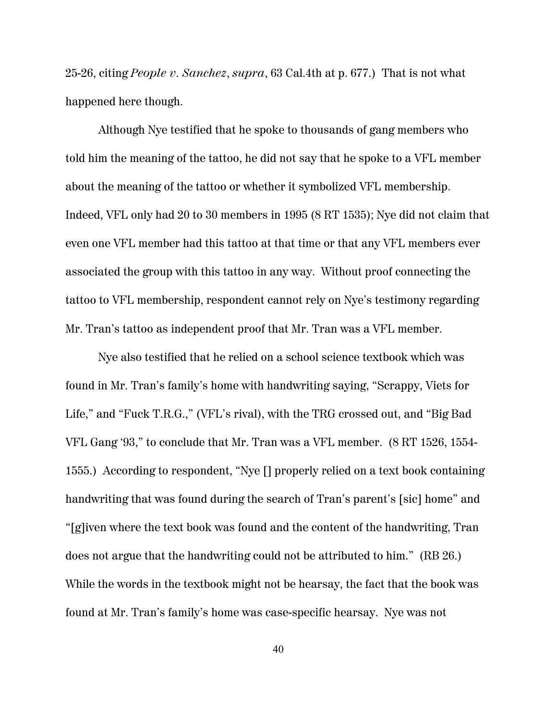25-26, citing *People v. Sanchez*, *supra*, 63 Cal.4th at p. 677.) That is not what happened here though.

Although Nye testified that he spoke to thousands of gang members who told him the meaning of the tattoo, he did not say that he spoke to a VFL member about the meaning of the tattoo or whether it symbolized VFL membership. Indeed, VFL only had 20 to 30 members in 1995 (8 RT 1535); Nye did not claim that even one VFL member had this tattoo at that time or that any VFL members ever associated the group with this tattoo in any way. Without proof connecting the tattoo to VFL membership, respondent cannot rely on Nye's testimony regarding Mr. Tran's tattoo as independent proof that Mr. Tran was a VFL member.

Nye also testified that he relied on a school science textbook which was found in Mr. Tran's family's home with handwriting saying, "Scrappy, Viets for Life," and "Fuck T.R.G.," (VFL's rival), with the TRG crossed out, and "Big Bad VFL Gang '93," to conclude that Mr. Tran was a VFL member. (8 RT 1526, 1554- 1555.) According to respondent, "Nye [] properly relied on a text book containing handwriting that was found during the search of Tran's parent's [sic] home" and "[g]iven where the text book was found and the content of the handwriting, Tran does not argue that the handwriting could not be attributed to him." (RB 26.) While the words in the textbook might not be hearsay, the fact that the book was found at Mr. Tran's family's home was case-specific hearsay. Nye was not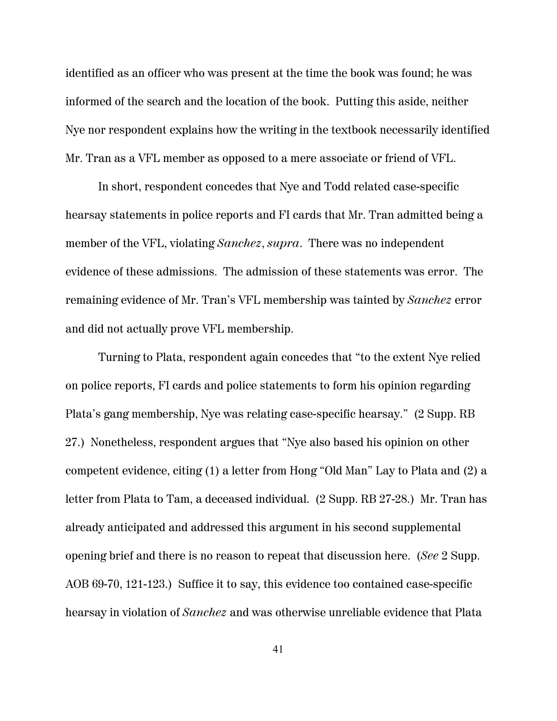identified as an officer who was present at the time the book was found; he was informed of the search and the location of the book. Putting this aside, neither Nye nor respondent explains how the writing in the textbook necessarily identified Mr. Tran as a VFL member as opposed to a mere associate or friend of VFL.

In short, respondent concedes that Nye and Todd related case-specific hearsay statements in police reports and FI cards that Mr. Tran admitted being a member of the VFL, violating *Sanchez*, *supra*. There was no independent evidence of these admissions. The admission of these statements was error. The remaining evidence of Mr. Tran's VFL membership was tainted by *Sanchez* error and did not actually prove VFL membership.

Turning to Plata, respondent again concedes that "to the extent Nye relied on police reports, FI cards and police statements to form his opinion regarding Plata's gang membership, Nye was relating case-specific hearsay." (2 Supp. RB 27.) Nonetheless, respondent argues that "Nye also based his opinion on other competent evidence, citing (1) a letter from Hong "Old Man" Lay to Plata and (2) a letter from Plata to Tam, a deceased individual. (2 Supp. RB 27-28.) Mr. Tran has already anticipated and addressed this argument in his second supplemental opening brief and there is no reason to repeat that discussion here. (*See* 2 Supp. AOB 69-70, 121-123.) Suffice it to say, this evidence too contained case-specific hearsay in violation of *Sanchez* and was otherwise unreliable evidence that Plata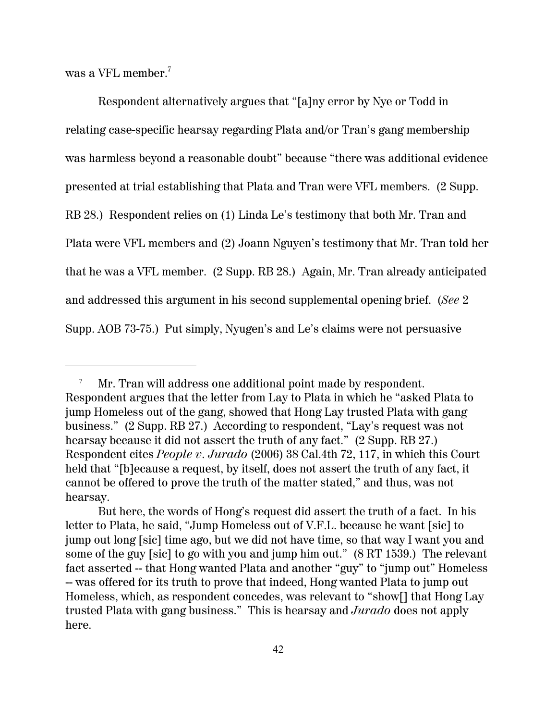was a VFL member.<sup>7</sup>

Respondent alternatively argues that "[a]ny error by Nye or Todd in relating case-specific hearsay regarding Plata and/or Tran's gang membership was harmless beyond a reasonable doubt" because "there was additional evidence presented at trial establishing that Plata and Tran were VFL members. (2 Supp. RB 28.) Respondent relies on (1) Linda Le's testimony that both Mr. Tran and Plata were VFL members and (2) Joann Nguyen's testimony that Mr. Tran told her that he was a VFL member. (2 Supp. RB 28.) Again, Mr. Tran already anticipated and addressed this argument in his second supplemental opening brief. (*See* 2 Supp. AOB 73-75.) Put simply, Nyugen's and Le's claims were not persuasive

Mr. Tran will address one additional point made by respondent. Respondent argues that the letter from Lay to Plata in which he "asked Plata to jump Homeless out of the gang, showed that Hong Lay trusted Plata with gang business." (2 Supp. RB 27.) According to respondent, "Lay's request was not hearsay because it did not assert the truth of any fact." (2 Supp. RB 27.) Respondent cites *People v. Jurado* (2006) 38 Cal.4th 72, 117, in which this Court held that "[b]ecause a request, by itself, does not assert the truth of any fact, it cannot be offered to prove the truth of the matter stated," and thus, was not hearsay.

But here, the words of Hong's request did assert the truth of a fact. In his letter to Plata, he said, "Jump Homeless out of V.F.L. because he want [sic] to jump out long [sic] time ago, but we did not have time, so that way I want you and some of the guy [sic] to go with you and jump him out." (8 RT 1539.) The relevant fact asserted -- that Hong wanted Plata and another "guy" to "jump out" Homeless -- was offered for its truth to prove that indeed, Hong wanted Plata to jump out Homeless, which, as respondent concedes, was relevant to "show[] that Hong Lay trusted Plata with gang business." This is hearsay and *Jurado* does not apply here.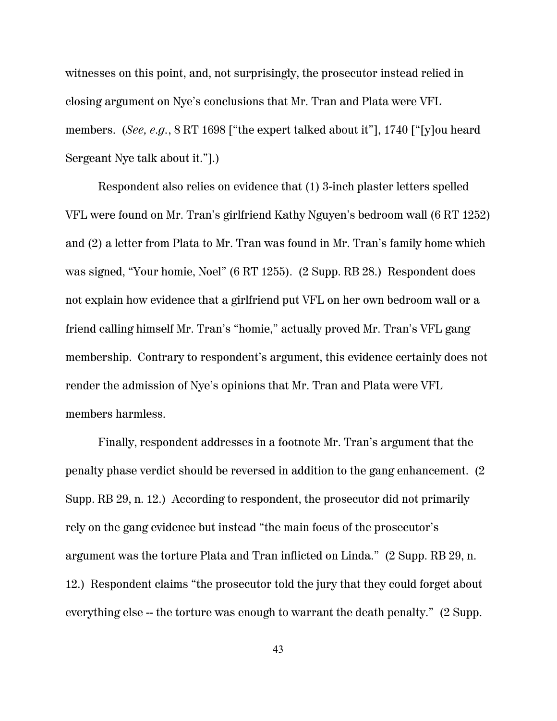witnesses on this point, and, not surprisingly, the prosecutor instead relied in closing argument on Nye's conclusions that Mr. Tran and Plata were VFL members. (*See, e.g.*, 8 RT 1698 ["the expert talked about it"], 1740 ["[y]ou heard Sergeant Nye talk about it."].)

Respondent also relies on evidence that (1) 3-inch plaster letters spelled VFL were found on Mr. Tran's girlfriend Kathy Nguyen's bedroom wall (6 RT 1252) and (2) a letter from Plata to Mr. Tran was found in Mr. Tran's family home which was signed, "Your homie, Noel" (6 RT 1255). (2 Supp. RB 28.) Respondent does not explain how evidence that a girlfriend put VFL on her own bedroom wall or a friend calling himself Mr. Tran's "homie," actually proved Mr. Tran's VFL gang membership. Contrary to respondent's argument, this evidence certainly does not render the admission of Nye's opinions that Mr. Tran and Plata were VFL members harmless.

Finally, respondent addresses in a footnote Mr. Tran's argument that the penalty phase verdict should be reversed in addition to the gang enhancement. (2 Supp. RB 29, n. 12.) According to respondent, the prosecutor did not primarily rely on the gang evidence but instead "the main focus of the prosecutor's argument was the torture Plata and Tran inflicted on Linda." (2 Supp. RB 29, n. 12.) Respondent claims "the prosecutor told the jury that they could forget about everything else -- the torture was enough to warrant the death penalty." (2 Supp.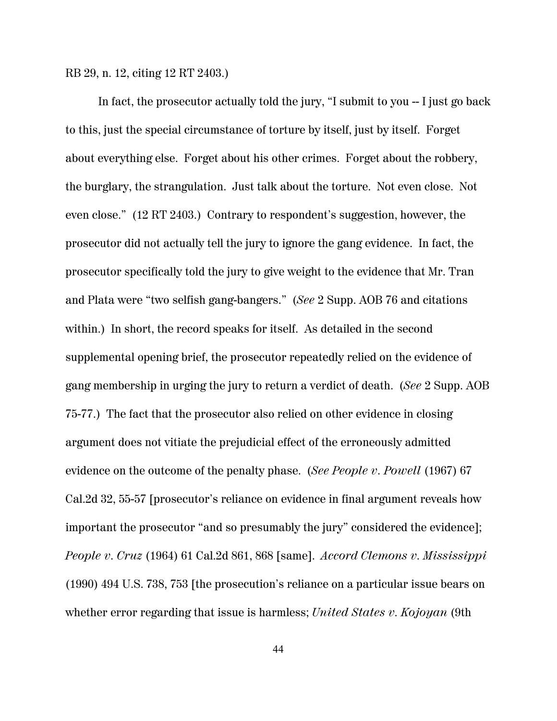RB 29, n. 12, citing 12 RT 2403.)

In fact, the prosecutor actually told the jury, "I submit to you -- I just go back to this, just the special circumstance of torture by itself, just by itself. Forget about everything else. Forget about his other crimes. Forget about the robbery, the burglary, the strangulation. Just talk about the torture. Not even close. Not even close." (12 RT 2403.) Contrary to respondent's suggestion, however, the prosecutor did not actually tell the jury to ignore the gang evidence. In fact, the prosecutor specifically told the jury to give weight to the evidence that Mr. Tran and Plata were "two selfish gang-bangers." (*See* 2 Supp. AOB 76 and citations within.) In short, the record speaks for itself. As detailed in the second supplemental opening brief, the prosecutor repeatedly relied on the evidence of gang membership in urging the jury to return a verdict of death. (*See* 2 Supp. AOB 75-77.) The fact that the prosecutor also relied on other evidence in closing argument does not vitiate the prejudicial effect of the erroneously admitted evidence on the outcome of the penalty phase. (*See People v. Powell* (1967) 67 Cal.2d 32, 55-57 [prosecutor's reliance on evidence in final argument reveals how important the prosecutor "and so presumably the jury" considered the evidence]; *People v. Cruz* (1964) 61 Cal.2d 861, 868 [same]. *Accord Clemons v. Mississippi* (1990) 494 U.S. 738, 753 [the prosecution's reliance on a particular issue bears on whether error regarding that issue is harmless; *United States v. Kojoyan* (9th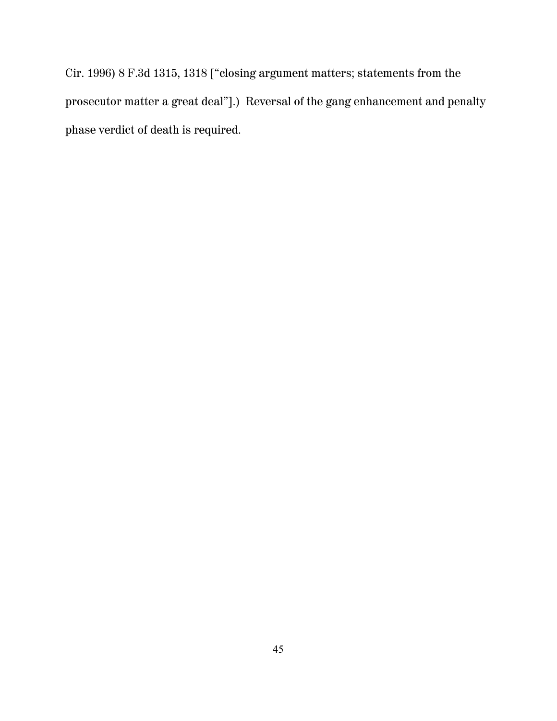Cir. 1996) 8 F.3d 1315, 1318 ["closing argument matters; statements from the prosecutor matter a great deal"].) Reversal of the gang enhancement and penalty phase verdict of death is required.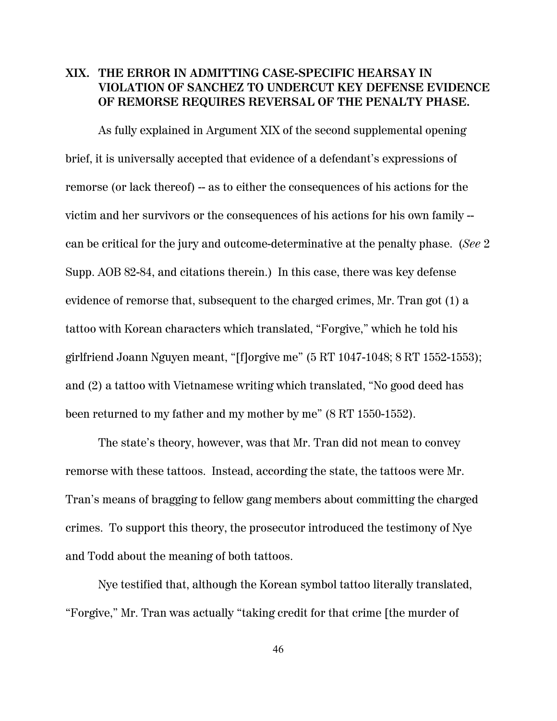#### **XIX. THE ERROR IN ADMITTING CASE-SPECIFIC HEARSAY IN VIOLATION OF SANCHEZ TO UNDERCUT KEY DEFENSE EVIDENCE OF REMORSE REQUIRES REVERSAL OF THE PENALTY PHASE.**

As fully explained in Argument XIX of the second supplemental opening brief, it is universally accepted that evidence of a defendant's expressions of remorse (or lack thereof) -- as to either the consequences of his actions for the victim and her survivors or the consequences of his actions for his own family - can be critical for the jury and outcome-determinative at the penalty phase. (*See* 2 Supp. AOB 82-84, and citations therein.) In this case, there was key defense evidence of remorse that, subsequent to the charged crimes, Mr. Tran got (1) a tattoo with Korean characters which translated, "Forgive," which he told his girlfriend Joann Nguyen meant, "[f]orgive me" (5 RT 1047-1048; 8 RT 1552-1553); and (2) a tattoo with Vietnamese writing which translated, "No good deed has been returned to my father and my mother by me" (8 RT 1550-1552).

The state's theory, however, was that Mr. Tran did not mean to convey remorse with these tattoos. Instead, according the state, the tattoos were Mr. Tran's means of bragging to fellow gang members about committing the charged crimes. To support this theory, the prosecutor introduced the testimony of Nye and Todd about the meaning of both tattoos.

Nye testified that, although the Korean symbol tattoo literally translated, "Forgive," Mr. Tran was actually "taking credit for that crime [the murder of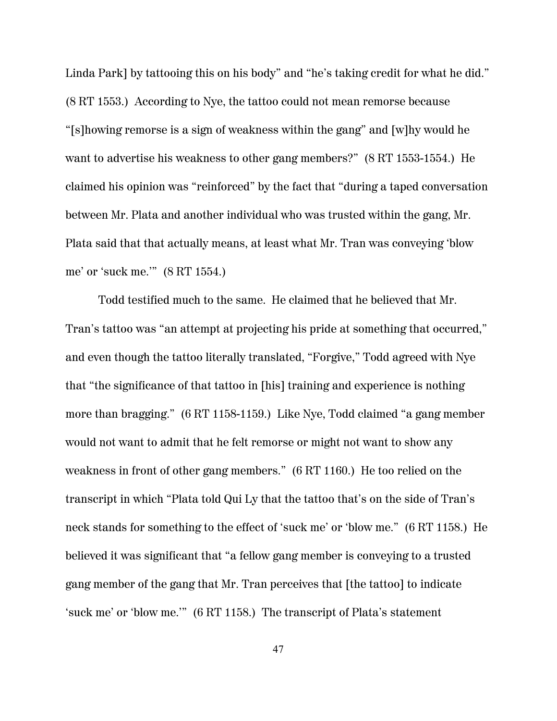Linda Park] by tattooing this on his body" and "he's taking credit for what he did." (8 RT 1553.) According to Nye, the tattoo could not mean remorse because "[s]howing remorse is a sign of weakness within the gang" and [w]hy would he want to advertise his weakness to other gang members?" (8 RT 1553-1554.) He claimed his opinion was "reinforced" by the fact that "during a taped conversation between Mr. Plata and another individual who was trusted within the gang, Mr. Plata said that that actually means, at least what Mr. Tran was conveying 'blow me' or 'suck me.'" (8 RT 1554.)

Todd testified much to the same. He claimed that he believed that Mr. Tran's tattoo was "an attempt at projecting his pride at something that occurred," and even though the tattoo literally translated, "Forgive," Todd agreed with Nye that "the significance of that tattoo in [his] training and experience is nothing more than bragging." (6 RT 1158-1159.) Like Nye, Todd claimed "a gang member would not want to admit that he felt remorse or might not want to show any weakness in front of other gang members." (6 RT 1160.) He too relied on the transcript in which "Plata told Qui Ly that the tattoo that's on the side of Tran's neck stands for something to the effect of 'suck me' or 'blow me." (6 RT 1158.) He believed it was significant that "a fellow gang member is conveying to a trusted gang member of the gang that Mr. Tran perceives that [the tattoo] to indicate 'suck me' or 'blow me.'" (6 RT 1158.) The transcript of Plata's statement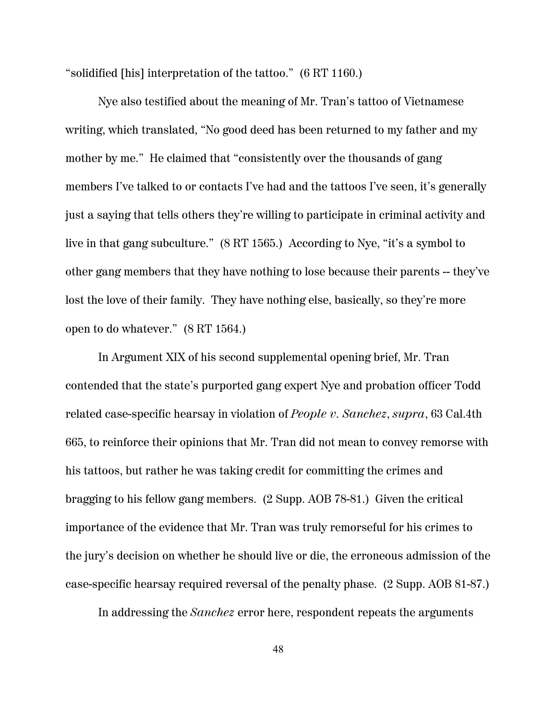"solidified [his] interpretation of the tattoo." (6 RT 1160.)

Nye also testified about the meaning of Mr. Tran's tattoo of Vietnamese writing, which translated, "No good deed has been returned to my father and my mother by me." He claimed that "consistently over the thousands of gang members I've talked to or contacts I've had and the tattoos I've seen, it's generally just a saying that tells others they're willing to participate in criminal activity and live in that gang subculture." (8 RT 1565.) According to Nye, "it's a symbol to other gang members that they have nothing to lose because their parents -- they've lost the love of their family. They have nothing else, basically, so they're more open to do whatever." (8 RT 1564.)

In Argument XIX of his second supplemental opening brief, Mr. Tran contended that the state's purported gang expert Nye and probation officer Todd related case-specific hearsay in violation of *People v. Sanchez*, *supra*, 63 Cal.4th 665, to reinforce their opinions that Mr. Tran did not mean to convey remorse with his tattoos, but rather he was taking credit for committing the crimes and bragging to his fellow gang members. (2 Supp. AOB 78-81.) Given the critical importance of the evidence that Mr. Tran was truly remorseful for his crimes to the jury's decision on whether he should live or die, the erroneous admission of the case-specific hearsay required reversal of the penalty phase. (2 Supp. AOB 81-87.)

In addressing the *Sanchez* error here, respondent repeats the arguments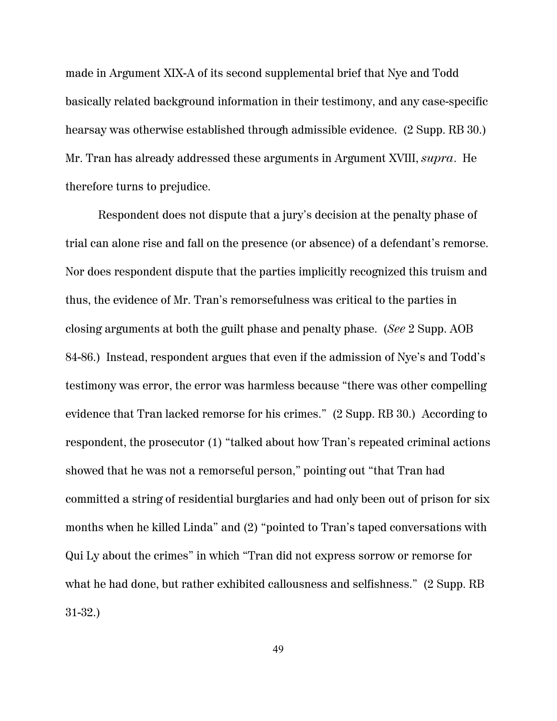made in Argument XIX-A of its second supplemental brief that Nye and Todd basically related background information in their testimony, and any case-specific hearsay was otherwise established through admissible evidence. (2 Supp. RB 30.) Mr. Tran has already addressed these arguments in Argument XVIII, *supra*. He therefore turns to prejudice.

Respondent does not dispute that a jury's decision at the penalty phase of trial can alone rise and fall on the presence (or absence) of a defendant's remorse. Nor does respondent dispute that the parties implicitly recognized this truism and thus, the evidence of Mr. Tran's remorsefulness was critical to the parties in closing arguments at both the guilt phase and penalty phase. (*See* 2 Supp. AOB 84-86.) Instead, respondent argues that even if the admission of Nye's and Todd's testimony was error, the error was harmless because "there was other compelling evidence that Tran lacked remorse for his crimes." (2 Supp. RB 30.) According to respondent, the prosecutor (1) "talked about how Tran's repeated criminal actions showed that he was not a remorseful person," pointing out "that Tran had committed a string of residential burglaries and had only been out of prison for six months when he killed Linda" and (2) "pointed to Tran's taped conversations with Qui Ly about the crimes" in which "Tran did not express sorrow or remorse for what he had done, but rather exhibited callousness and selfishness." (2 Supp. RB 31-32.)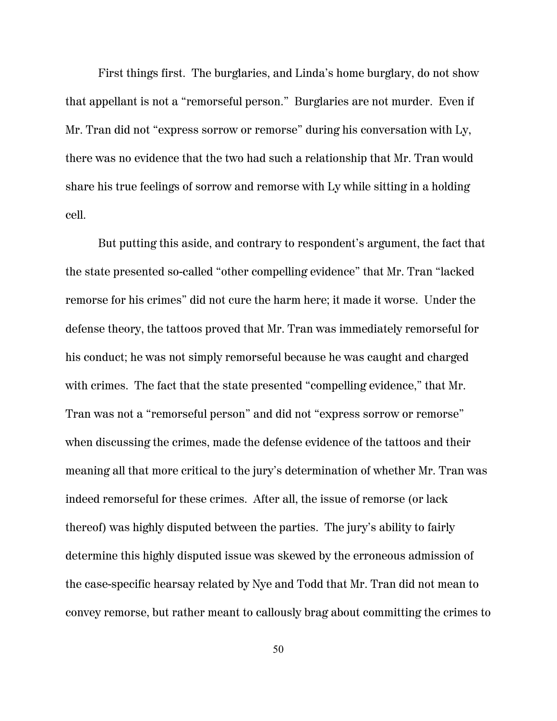First things first. The burglaries, and Linda's home burglary, do not show that appellant is not a "remorseful person." Burglaries are not murder. Even if Mr. Tran did not "express sorrow or remorse" during his conversation with Ly, there was no evidence that the two had such a relationship that Mr. Tran would share his true feelings of sorrow and remorse with Ly while sitting in a holding cell.

But putting this aside, and contrary to respondent's argument, the fact that the state presented so-called "other compelling evidence" that Mr. Tran "lacked remorse for his crimes" did not cure the harm here; it made it worse. Under the defense theory, the tattoos proved that Mr. Tran was immediately remorseful for his conduct; he was not simply remorseful because he was caught and charged with crimes. The fact that the state presented "compelling evidence," that Mr. Tran was not a "remorseful person" and did not "express sorrow or remorse" when discussing the crimes, made the defense evidence of the tattoos and their meaning all that more critical to the jury's determination of whether Mr. Tran was indeed remorseful for these crimes. After all, the issue of remorse (or lack thereof) was highly disputed between the parties. The jury's ability to fairly determine this highly disputed issue was skewed by the erroneous admission of the case-specific hearsay related by Nye and Todd that Mr. Tran did not mean to convey remorse, but rather meant to callously brag about committing the crimes to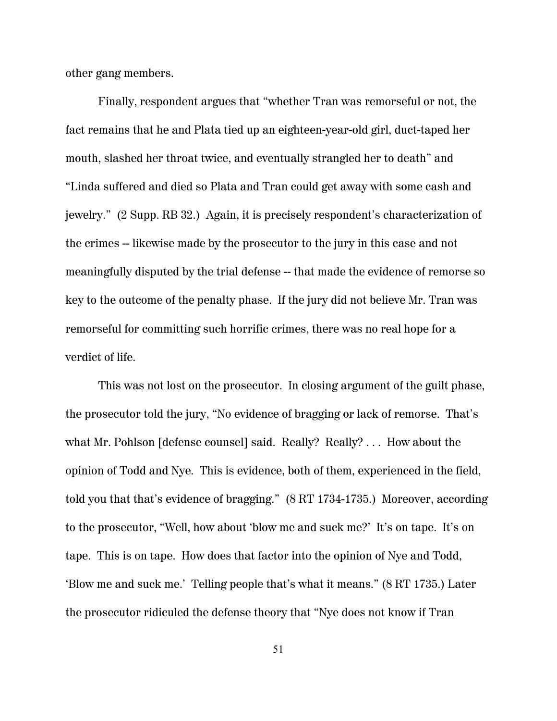other gang members.

Finally, respondent argues that "whether Tran was remorseful or not, the fact remains that he and Plata tied up an eighteen-year-old girl, duct-taped her mouth, slashed her throat twice, and eventually strangled her to death" and "Linda suffered and died so Plata and Tran could get away with some cash and jewelry." (2 Supp. RB 32.) Again, it is precisely respondent's characterization of the crimes -- likewise made by the prosecutor to the jury in this case and not meaningfully disputed by the trial defense -- that made the evidence of remorse so key to the outcome of the penalty phase. If the jury did not believe Mr. Tran was remorseful for committing such horrific crimes, there was no real hope for a verdict of life.

This was not lost on the prosecutor. In closing argument of the guilt phase, the prosecutor told the jury, "No evidence of bragging or lack of remorse. That's what Mr. Pohlson [defense counsel] said. Really? Really? ... How about the opinion of Todd and Nye. This is evidence, both of them, experienced in the field, told you that that's evidence of bragging." (8 RT 1734-1735.) Moreover, according to the prosecutor, "Well, how about 'blow me and suck me?' It's on tape. It's on tape. This is on tape. How does that factor into the opinion of Nye and Todd, 'Blow me and suck me.' Telling people that's what it means." (8 RT 1735.) Later the prosecutor ridiculed the defense theory that "Nye does not know if Tran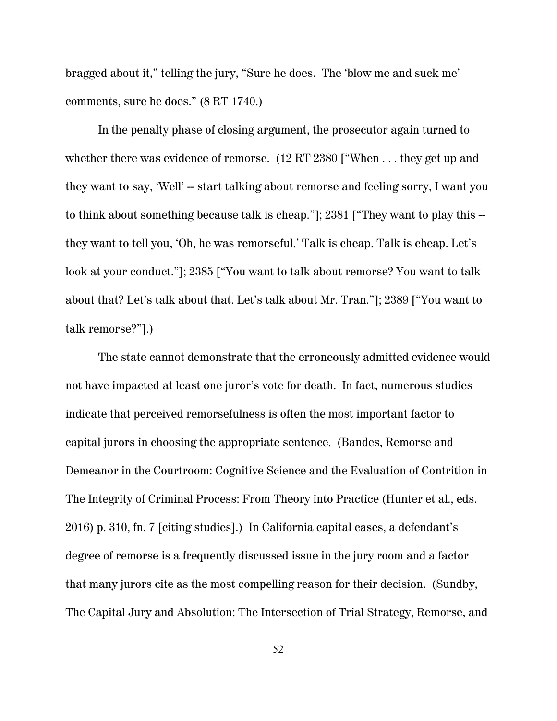bragged about it," telling the jury, "Sure he does. The 'blow me and suck me' comments, sure he does." (8 RT 1740.)

In the penalty phase of closing argument, the prosecutor again turned to whether there was evidence of remorse. (12 RT 2380 ["When ... they get up and they want to say, 'Well' -- start talking about remorse and feeling sorry, I want you to think about something because talk is cheap."]; 2381 ["They want to play this - they want to tell you, 'Oh, he was remorseful.' Talk is cheap. Talk is cheap. Let's look at your conduct."]; 2385 ["You want to talk about remorse? You want to talk about that? Let's talk about that. Let's talk about Mr. Tran."]; 2389 ["You want to talk remorse?"].)

The state cannot demonstrate that the erroneously admitted evidence would not have impacted at least one juror's vote for death. In fact, numerous studies indicate that perceived remorsefulness is often the most important factor to capital jurors in choosing the appropriate sentence. (Bandes, Remorse and Demeanor in the Courtroom: Cognitive Science and the Evaluation of Contrition in The Integrity of Criminal Process: From Theory into Practice (Hunter et al., eds. 2016) p. 310, fn. 7 [citing studies].) In California capital cases, a defendant's degree of remorse is a frequently discussed issue in the jury room and a factor that many jurors cite as the most compelling reason for their decision. (Sundby, The Capital Jury and Absolution: The Intersection of Trial Strategy, Remorse, and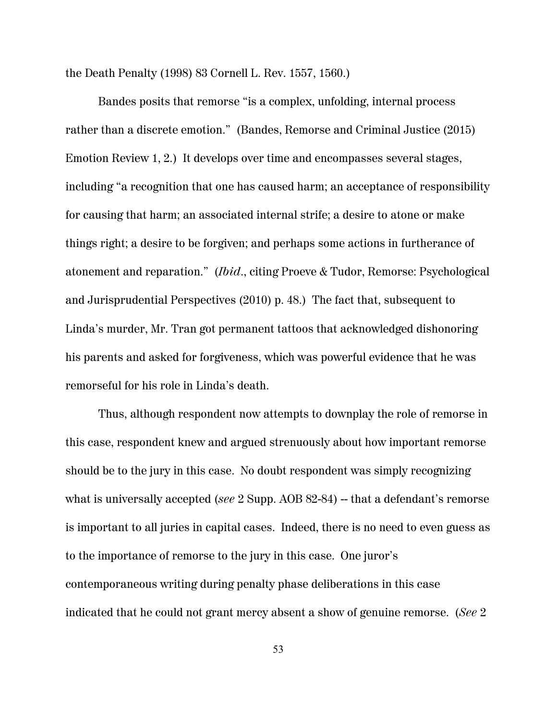the Death Penalty (1998) 83 Cornell L. Rev. 1557, 1560.)

Bandes posits that remorse "is a complex, unfolding, internal process rather than a discrete emotion." (Bandes, Remorse and Criminal Justice (2015) Emotion Review 1, 2.) It develops over time and encompasses several stages, including "a recognition that one has caused harm; an acceptance of responsibility for causing that harm; an associated internal strife; a desire to atone or make things right; a desire to be forgiven; and perhaps some actions in furtherance of atonement and reparation." (*Ibid*., citing Proeve & Tudor, Remorse: Psychological and Jurisprudential Perspectives (2010) p. 48.) The fact that, subsequent to Linda's murder, Mr. Tran got permanent tattoos that acknowledged dishonoring his parents and asked for forgiveness, which was powerful evidence that he was remorseful for his role in Linda's death.

Thus, although respondent now attempts to downplay the role of remorse in this case, respondent knew and argued strenuously about how important remorse should be to the jury in this case. No doubt respondent was simply recognizing what is universally accepted *(see 2 Supp. AOB 82-84)* – that a defendant's remorse is important to all juries in capital cases. Indeed, there is no need to even guess as to the importance of remorse to the jury in this case. One juror's contemporaneous writing during penalty phase deliberations in this case indicated that he could not grant mercy absent a show of genuine remorse. (*See* 2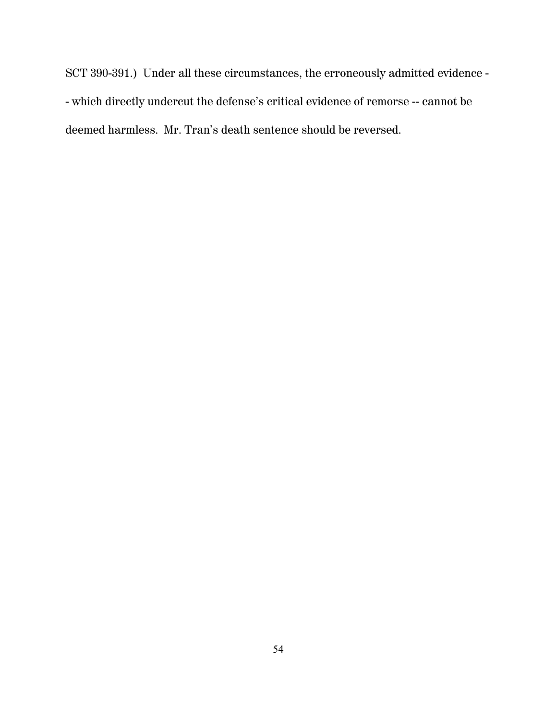SCT 390-391.) Under all these circumstances, the erroneously admitted evidence - - which directly undercut the defense's critical evidence of remorse -- cannot be deemed harmless. Mr. Tran's death sentence should be reversed.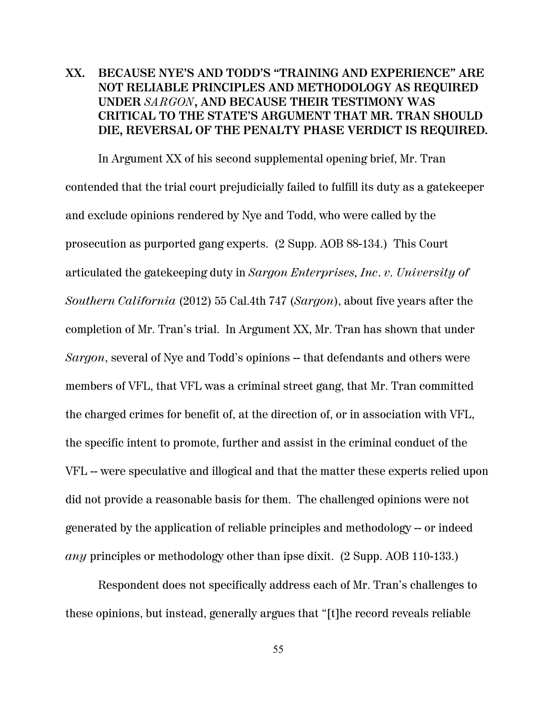## **XX. BECAUSE NYE'S AND TODD'S "TRAINING AND EXPERIENCE" ARE NOT RELIABLE PRINCIPLES AND METHODOLOGY AS REQUIRED UNDER** *SARGON***, AND BECAUSE THEIR TESTIMONY WAS CRITICAL TO THE STATE'S ARGUMENT THAT MR. TRAN SHOULD DIE, REVERSAL OF THE PENALTY PHASE VERDICT IS REQUIRED.**

In Argument XX of his second supplemental opening brief, Mr. Tran contended that the trial court prejudicially failed to fulfill its duty as a gatekeeper and exclude opinions rendered by Nye and Todd, who were called by the prosecution as purported gang experts. (2 Supp. AOB 88-134.) This Court articulated the gatekeeping duty in *Sargon Enterprises, Inc*. *v. University of Southern California* (2012) 55 Cal.4th 747 (*Sargon*), about five years after the completion of Mr. Tran's trial. In Argument XX, Mr. Tran has shown that under *Sargon*, several of Nye and Todd's opinions -- that defendants and others were members of VFL, that VFL was a criminal street gang, that Mr. Tran committed the charged crimes for benefit of, at the direction of, or in association with VFL, the specific intent to promote, further and assist in the criminal conduct of the VFL -- were speculative and illogical and that the matter these experts relied upon did not provide a reasonable basis for them. The challenged opinions were not generated by the application of reliable principles and methodology -- or indeed *any* principles or methodology other than ipse dixit. (2 Supp. AOB 110-133.)

Respondent does not specifically address each of Mr. Tran's challenges to these opinions, but instead, generally argues that "[t]he record reveals reliable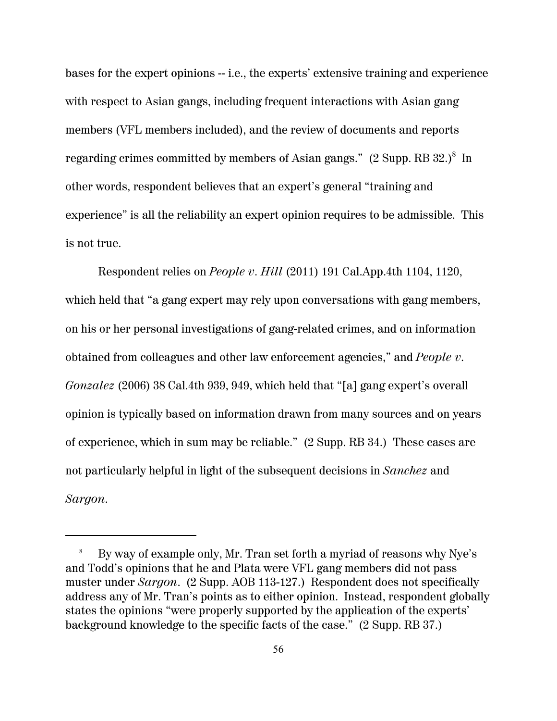bases for the expert opinions -- i.e., the experts' extensive training and experience with respect to Asian gangs, including frequent interactions with Asian gang members (VFL members included), and the review of documents and reports regarding crimes committed by members of Asian gangs."  $(2 \text{ Supp. RB } 32.)^8$  In other words, respondent believes that an expert's general "training and experience" is all the reliability an expert opinion requires to be admissible. This is not true.

Respondent relies on *People v. Hill* (2011) 191 Cal.App.4th 1104, 1120, which held that "a gang expert may rely upon conversations with gang members, on his or her personal investigations of gang-related crimes, and on information obtained from colleagues and other law enforcement agencies," and *People v. Gonzalez* (2006) 38 Cal.4th 939, 949, which held that "[a] gang expert's overall opinion is typically based on information drawn from many sources and on years of experience, which in sum may be reliable." (2 Supp. RB 34.) These cases are not particularly helpful in light of the subsequent decisions in *Sanchez* and *Sargon*.

<sup>8</sup> By way of example only, Mr. Tran set forth a myriad of reasons why Nye's and Todd's opinions that he and Plata were VFL gang members did not pass muster under *Sargon*. (2 Supp. AOB 113-127.) Respondent does not specifically address any of Mr. Tran's points as to either opinion. Instead, respondent globally states the opinions "were properly supported by the application of the experts' background knowledge to the specific facts of the case." (2 Supp. RB 37.)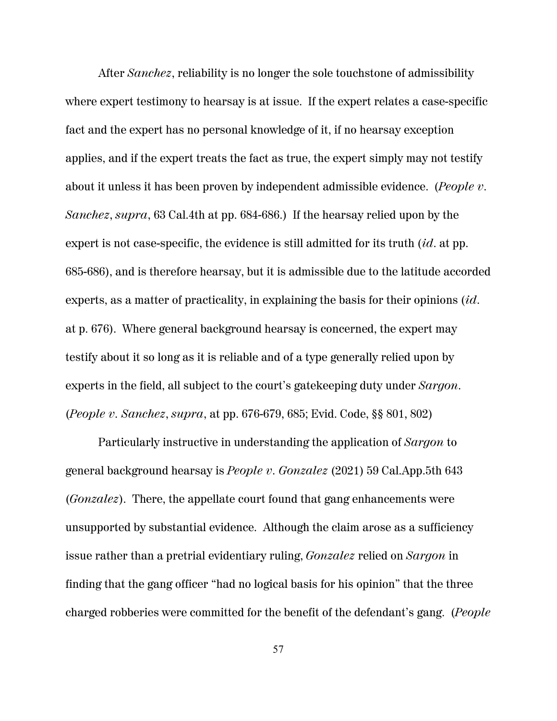After *Sanchez*, reliability is no longer the sole touchstone of admissibility where expert testimony to hearsay is at issue. If the expert relates a case-specific fact and the expert has no personal knowledge of it, if no hearsay exception applies, and if the expert treats the fact as true, the expert simply may not testify about it unless it has been proven by independent admissible evidence. (*People v. Sanchez*, *supra*, 63 Cal.4th at pp. 684-686.) If the hearsay relied upon by the expert is not case-specific, the evidence is still admitted for its truth (*id*. at pp. 685-686), and is therefore hearsay, but it is admissible due to the latitude accorded experts, as a matter of practicality, in explaining the basis for their opinions (*id*. at p. 676). Where general background hearsay is concerned, the expert may testify about it so long as it is reliable and of a type generally relied upon by experts in the field, all subject to the court's gatekeeping duty under *Sargon*. (*People v. Sanchez*, *supra*, at pp. 676-679, 685; Evid. Code, §§ 801, 802)

Particularly instructive in understanding the application of *Sargon* to general background hearsay is *People v. Gonzalez* (2021) 59 Cal.App.5th 643 (*Gonzalez*). There, the appellate court found that gang enhancements were unsupported by substantial evidence. Although the claim arose as a sufficiency issue rather than a pretrial evidentiary ruling, *Gonzalez* relied on *Sargon* in finding that the gang officer "had no logical basis for his opinion" that the three charged robberies were committed for the benefit of the defendant's gang. (*People*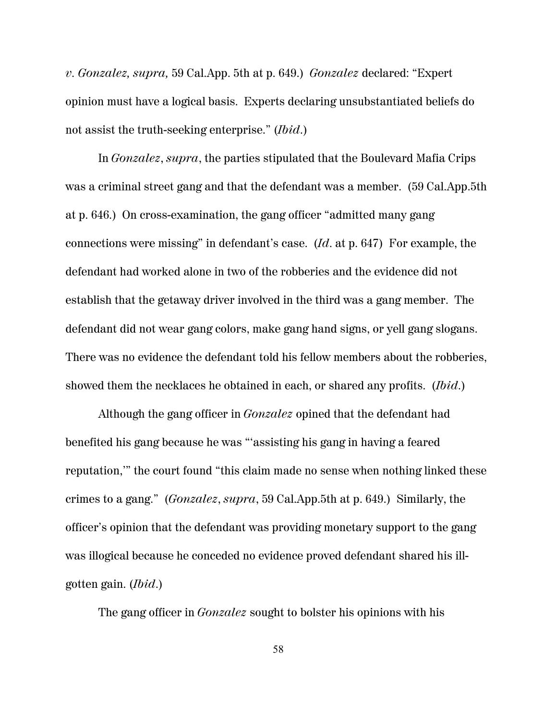*v. Gonzalez, supra,* 59 Cal.App. 5th at p. 649.) *Gonzalez* declared: "Expert opinion must have a logical basis. Experts declaring unsubstantiated beliefs do not assist the truth-seeking enterprise." (*Ibid*.)

In *Gonzalez*, *supra*, the parties stipulated that the Boulevard Mafia Crips was a criminal street gang and that the defendant was a member. (59 Cal.App.5th at p. 646.) On cross-examination, the gang officer "admitted many gang connections were missing" in defendant's case. (*Id*. at p. 647) For example, the defendant had worked alone in two of the robberies and the evidence did not establish that the getaway driver involved in the third was a gang member. The defendant did not wear gang colors, make gang hand signs, or yell gang slogans. There was no evidence the defendant told his fellow members about the robberies, showed them the necklaces he obtained in each, or shared any profits. (*Ibid*.)

Although the gang officer in *Gonzalez* opined that the defendant had benefited his gang because he was "'assisting his gang in having a feared reputation,'" the court found "this claim made no sense when nothing linked these crimes to a gang." (*Gonzalez*, *supra*, 59 Cal.App.5th at p. 649.) Similarly, the officer's opinion that the defendant was providing monetary support to the gang was illogical because he conceded no evidence proved defendant shared his illgotten gain. (*Ibid*.)

The gang officer in *Gonzalez* sought to bolster his opinions with his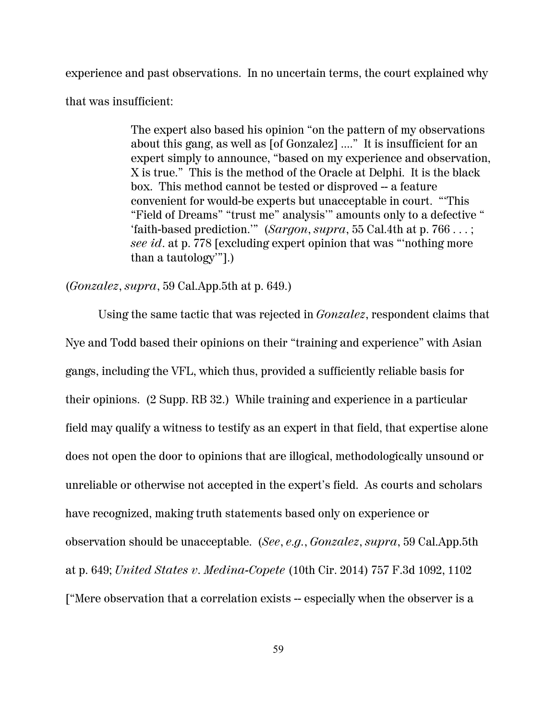experience and past observations. In no uncertain terms, the court explained why that was insufficient:

> The expert also based his opinion "on the pattern of my observations about this gang, as well as [of Gonzalez] ...." It is insufficient for an expert simply to announce, "based on my experience and observation, X is true." This is the method of the Oracle at Delphi. It is the black box. This method cannot be tested or disproved -- a feature convenient for would-be experts but unacceptable in court. "'This "Field of Dreams" "trust me" analysis'" amounts only to a defective " 'faith-based prediction.'" (*Sargon*, *supra*, 55 Cal.4th at p. 766 . . . ; *see id*. at p. 778 [excluding expert opinion that was "'nothing more than a tautology'"].)

#### (*Gonzalez*, *supra*, 59 Cal.App.5th at p. 649.)

Using the same tactic that was rejected in *Gonzalez*, respondent claims that Nye and Todd based their opinions on their "training and experience" with Asian gangs, including the VFL, which thus, provided a sufficiently reliable basis for their opinions. (2 Supp. RB 32.) While training and experience in a particular field may qualify a witness to testify as an expert in that field, that expertise alone does not open the door to opinions that are illogical, methodologically unsound or unreliable or otherwise not accepted in the expert's field. As courts and scholars have recognized, making truth statements based only on experience or observation should be unacceptable. (*See*, *e.g.*, *Gonzalez*, *supra*, 59 Cal.App.5th at p. 649; *United States v. Medina-Copete* (10th Cir. 2014) 757 F.3d 1092, 1102 ["Mere observation that a correlation exists -- especially when the observer is a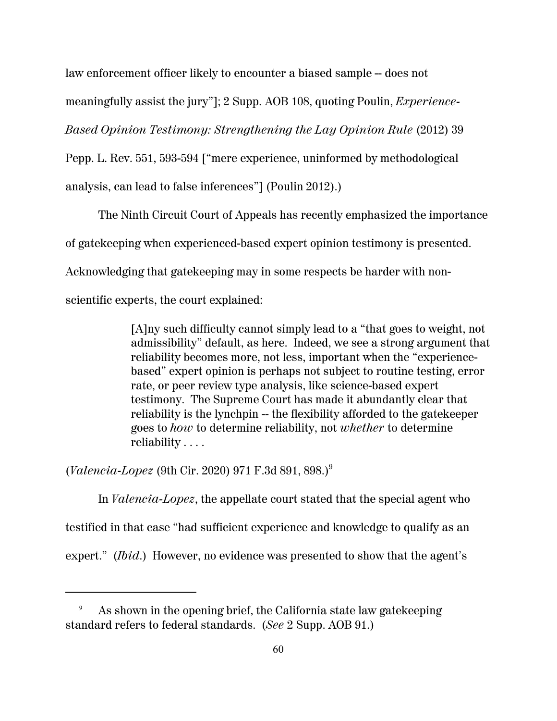law enforcement officer likely to encounter a biased sample -- does not

meaningfully assist the jury"]; 2 Supp. AOB 108, quoting Poulin, *Experience-*

*Based Opinion Testimony: Strengthening the Lay Opinion Rule* (2012) 39

Pepp. L. Rev. 551, 593-594 ["mere experience, uninformed by methodological analysis, can lead to false inferences"] (Poulin 2012).)

The Ninth Circuit Court of Appeals has recently emphasized the importance of gatekeeping when experienced-based expert opinion testimony is presented. Acknowledging that gatekeeping may in some respects be harder with nonscientific experts, the court explained:

> [A]ny such difficulty cannot simply lead to a "that goes to weight, not admissibility" default, as here. Indeed, we see a strong argument that reliability becomes more, not less, important when the "experiencebased" expert opinion is perhaps not subject to routine testing, error rate, or peer review type analysis, like science-based expert testimony. The Supreme Court has made it abundantly clear that reliability is the lynchpin -- the flexibility afforded to the gatekeeper goes to *how* to determine reliability, not *whether* to determine reliability . . . .

(*Valencia-Lopez* (9th Cir. 2020) 971 F.3d 891, 898.)<sup>9</sup>

In *Valencia-Lopez*, the appellate court stated that the special agent who testified in that case "had sufficient experience and knowledge to qualify as an expert." (*Ibid*.) However, no evidence was presented to show that the agent's

<sup>9</sup> As shown in the opening brief, the California state law gatekeeping standard refers to federal standards. (*See* 2 Supp. AOB 91.)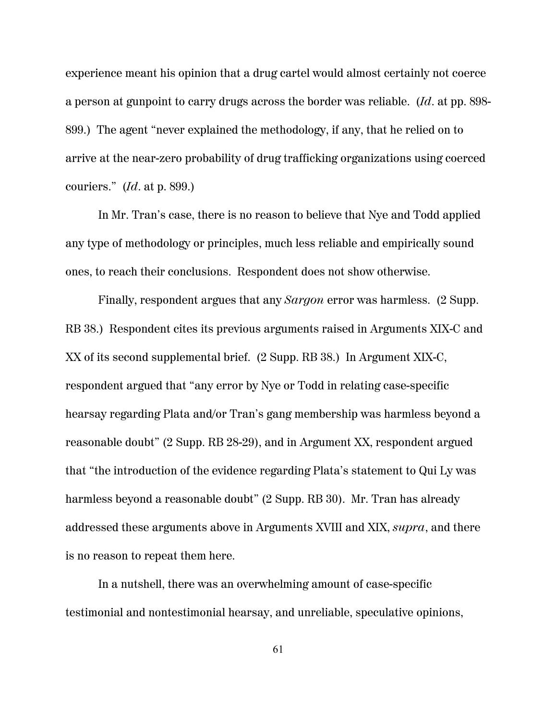experience meant his opinion that a drug cartel would almost certainly not coerce a person at gunpoint to carry drugs across the border was reliable. (*Id*. at pp. 898- 899.) The agent "never explained the methodology, if any, that he relied on to arrive at the near-zero probability of drug trafficking organizations using coerced couriers." (*Id*. at p. 899.)

In Mr. Tran's case, there is no reason to believe that Nye and Todd applied any type of methodology or principles, much less reliable and empirically sound ones, to reach their conclusions. Respondent does not show otherwise.

Finally, respondent argues that any *Sargon* error was harmless. (2 Supp. RB 38.) Respondent cites its previous arguments raised in Arguments XIX-C and XX of its second supplemental brief. (2 Supp. RB 38.) In Argument XIX-C, respondent argued that "any error by Nye or Todd in relating case-specific hearsay regarding Plata and/or Tran's gang membership was harmless beyond a reasonable doubt" (2 Supp. RB 28-29), and in Argument XX, respondent argued that "the introduction of the evidence regarding Plata's statement to Qui Ly was harmless beyond a reasonable doubt" (2 Supp. RB 30). Mr. Tran has already addressed these arguments above in Arguments XVIII and XIX, *supra*, and there is no reason to repeat them here.

In a nutshell, there was an overwhelming amount of case-specific testimonial and nontestimonial hearsay, and unreliable, speculative opinions,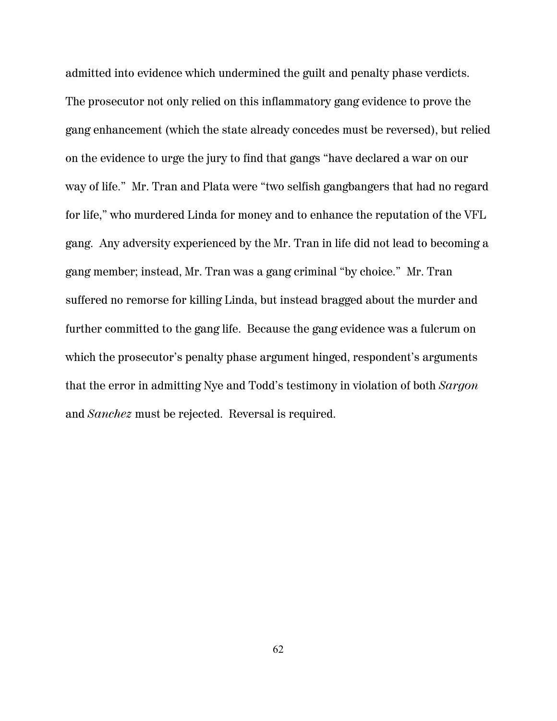admitted into evidence which undermined the guilt and penalty phase verdicts. The prosecutor not only relied on this inflammatory gang evidence to prove the gang enhancement (which the state already concedes must be reversed), but relied on the evidence to urge the jury to find that gangs "have declared a war on our way of life." Mr. Tran and Plata were "two selfish gangbangers that had no regard for life," who murdered Linda for money and to enhance the reputation of the VFL gang. Any adversity experienced by the Mr. Tran in life did not lead to becoming a gang member; instead, Mr. Tran was a gang criminal "by choice." Mr. Tran suffered no remorse for killing Linda, but instead bragged about the murder and further committed to the gang life. Because the gang evidence was a fulcrum on which the prosecutor's penalty phase argument hinged, respondent's arguments that the error in admitting Nye and Todd's testimony in violation of both *Sargon* and *Sanchez* must be rejected. Reversal is required.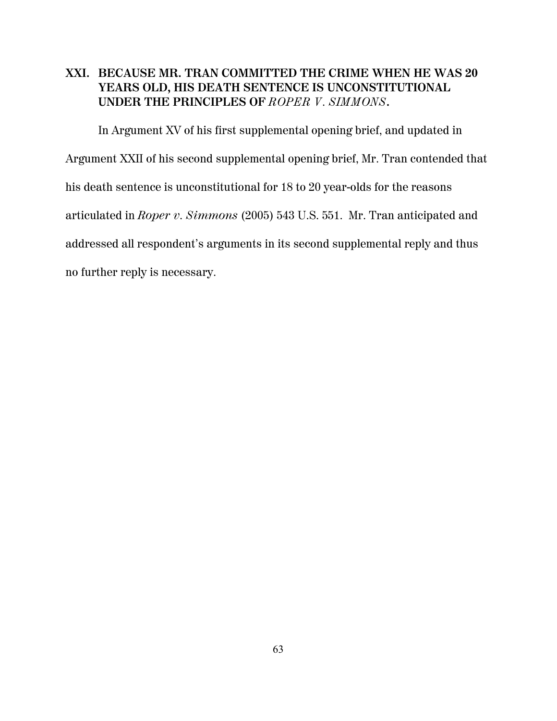#### **XXI. BECAUSE MR. TRAN COMMITTED THE CRIME WHEN HE WAS 20 YEARS OLD, HIS DEATH SENTENCE IS UNCONSTITUTIONAL UNDER THE PRINCIPLES OF** *ROPER V. SIMMONS***.**

In Argument XV of his first supplemental opening brief, and updated in Argument XXII of his second supplemental opening brief, Mr. Tran contended that his death sentence is unconstitutional for 18 to 20 year-olds for the reasons articulated in *Roper v. Simmons* (2005) 543 U.S. 551. Mr. Tran anticipated and addressed all respondent's arguments in its second supplemental reply and thus no further reply is necessary.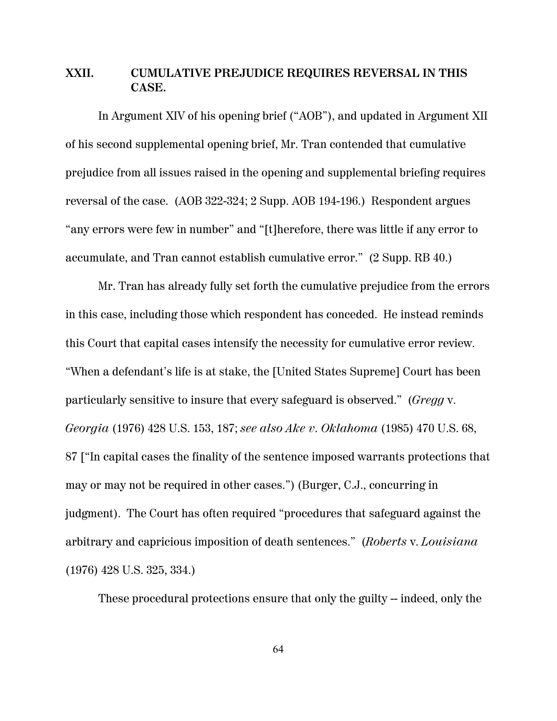#### **XXII. CUMULATIVE PREJUDICE REQUIRES REVERSAL IN THIS CASE.**

In Argument XIV of his opening brief ("AOB"), and updated in Argument XII of his second supplemental opening brief, Mr. Tran contended that cumulative prejudice from all issues raised in the opening and supplemental briefing requires reversal of the case. (AOB 322-324; 2 Supp. AOB 194-196.) Respondent argues "any errors were few in number" and "[t]herefore, there was little if any error to accumulate, and Tran cannot establish cumulative error." (2 Supp. RB 40.)

Mr. Tran has already fully set forth the cumulative prejudice from the errors in this case, including those which respondent has conceded. He instead reminds this Court that capital cases intensify the necessity for cumulative error review. "When a defendant's life is at stake, the [United States Supreme] Court has been particularly sensitive to insure that every safeguard is observed." (*Gregg* v. *Georgia* (1976) 428 U.S. 153, 187; *see also Ake v. Oklahoma* (1985) 470 U.S. 68, 87 ["In capital cases the finality of the sentence imposed warrants protections that may or may not be required in other cases.") (Burger, C.J., concurring in judgment). The Court has often required "procedures that safeguard against the arbitrary and capricious imposition of death sentences." (*Roberts* v. *Louisiana* (1976) 428 U.S. 325, 334.)

These procedural protections ensure that only the guilty -- indeed, only the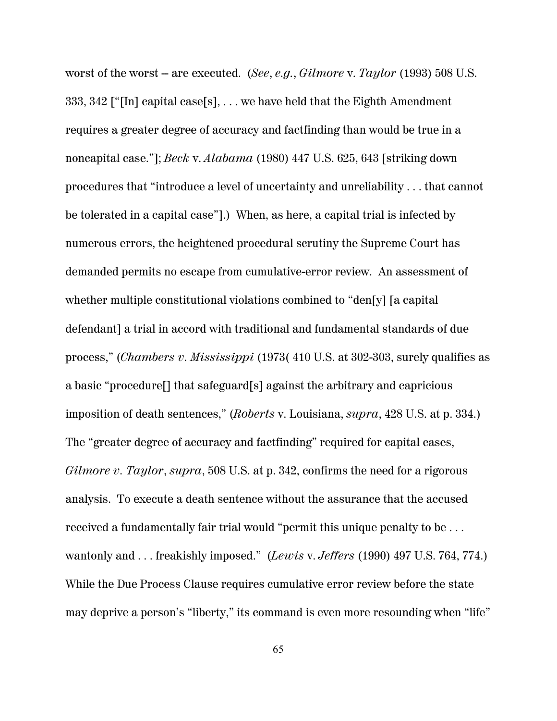worst of the worst -- are executed. (*See*, *e.g.*, *Gilmore* v. *Taylor* (1993) 508 U.S. 333, 342 ["[In] capital case[s], . . . we have held that the Eighth Amendment requires a greater degree of accuracy and factfinding than would be true in a noncapital case."]; *Beck* v. *Alabama* (1980) 447 U.S. 625, 643 [striking down procedures that "introduce a level of uncertainty and unreliability . . . that cannot be tolerated in a capital case"].) When, as here, a capital trial is infected by numerous errors, the heightened procedural scrutiny the Supreme Court has demanded permits no escape from cumulative-error review. An assessment of whether multiple constitutional violations combined to "den[y] [a capital defendant] a trial in accord with traditional and fundamental standards of due process," (*Chambers v. Mississippi* (1973( 410 U.S. at 302-303, surely qualifies as a basic "procedure[] that safeguard[s] against the arbitrary and capricious imposition of death sentences," (*Roberts* v. Louisiana, *supra*, 428 U.S. at p. 334.) The "greater degree of accuracy and factfinding" required for capital cases, *Gilmore v. Taylor*, *supra*, 508 U.S. at p. 342, confirms the need for a rigorous analysis. To execute a death sentence without the assurance that the accused received a fundamentally fair trial would "permit this unique penalty to be . . . wantonly and . . . freakishly imposed." (*Lewis* v. *Jeffers* (1990) 497 U.S. 764, 774.) While the Due Process Clause requires cumulative error review before the state may deprive a person's "liberty," its command is even more resounding when "life"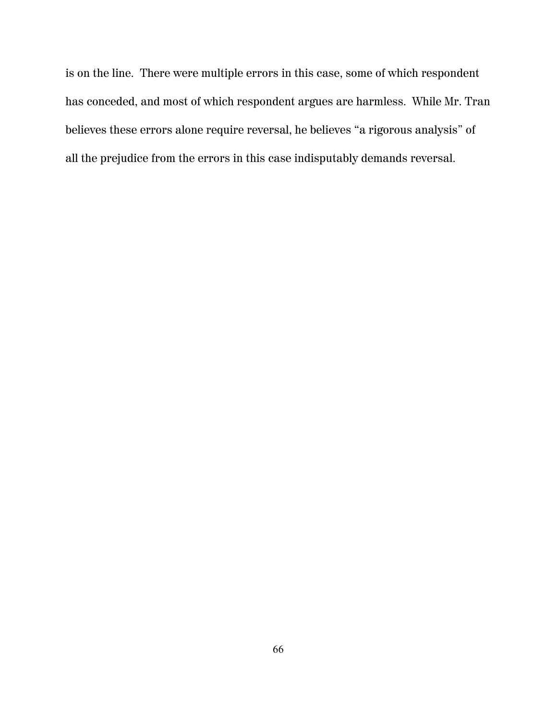is on the line. There were multiple errors in this case, some of which respondent has conceded, and most of which respondent argues are harmless. While Mr. Tran believes these errors alone require reversal, he believes "a rigorous analysis" of all the prejudice from the errors in this case indisputably demands reversal.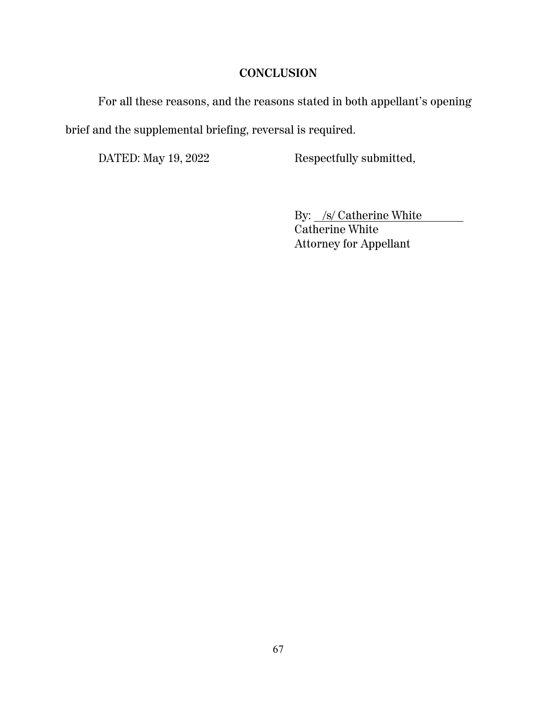### **CONCLUSION**

For all these reasons, and the reasons stated in both appellant's opening brief and the supplemental briefing, reversal is required.

DATED: May 19, 2022 Respectfully submitted,

By: /s/ Catherine White Catherine White Attorney for Appellant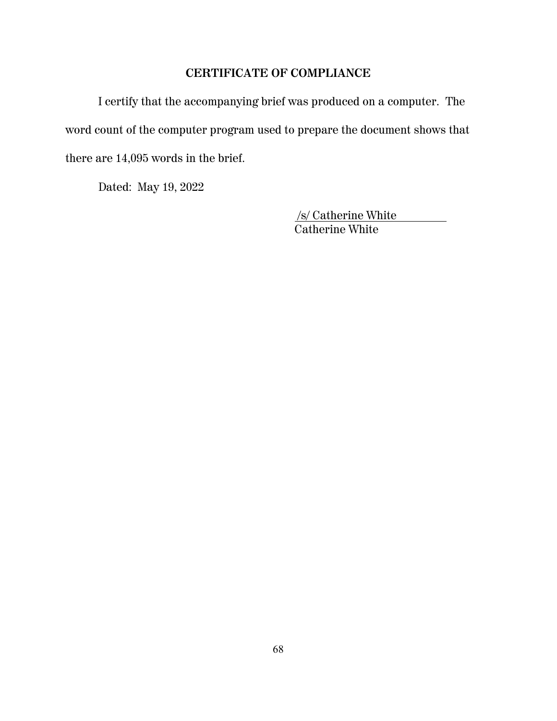### **CERTIFICATE OF COMPLIANCE**

I certify that the accompanying brief was produced on a computer. The word count of the computer program used to prepare the document shows that there are 14,095 words in the brief.

Dated: May 19, 2022

 /s/ Catherine White Catherine White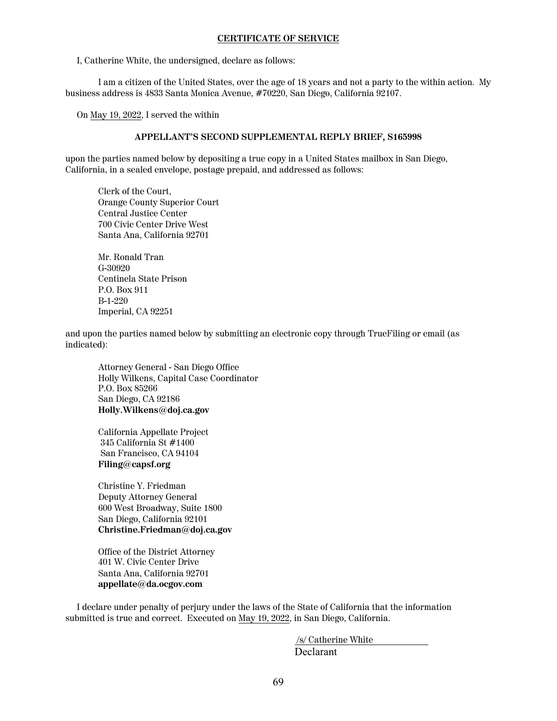#### **CERTIFICATE OF SERVICE**

I, Catherine White, the undersigned, declare as follows:

I am a citizen of the United States, over the age of 18 years and not a party to the within action. My business address is 4833 Santa Monica Avenue, #70220, San Diego, California 92107.

On May 19, 2022, I served the within

#### **APPELLANT'S SECOND SUPPLEMENTAL REPLY BRIEF, S165998**

upon the parties named below by depositing a true copy in a United States mailbox in San Diego, California, in a sealed envelope, postage prepaid, and addressed as follows:

Clerk of the Court, Orange County Superior Court Central Justice Center 700 Civic Center Drive West Santa Ana, California 92701

Mr. Ronald Tran G-30920 Centinela State Prison P.O. Box 911 B-1-220 Imperial, CA 92251

and upon the parties named below by submitting an electronic copy through TrueFiling or email (as indicated):

Attorney General - San Diego Office Holly Wilkens, Capital Case Coordinator P.O. Box 85266 San Diego, CA 92186 **Holly.Wilkens@doj.ca.gov**

California Appellate Project 345 California St #1400 San Francisco, CA 94104 **Filing@capsf.org**

Christine Y. Friedman Deputy Attorney General 600 West Broadway, Suite 1800 San Diego, California 92101 **Christine.Friedman@doj.ca.gov**

Office of the District Attorney 401 W. Civic Center Drive Santa Ana, California 92701 **appellate@da.ocgov.com**

 I declare under penalty of perjury under the laws of the State of California that the information submitted is true and correct. Executed on May 19, 2022, in San Diego, California.

> /s/ Catherine White Declarant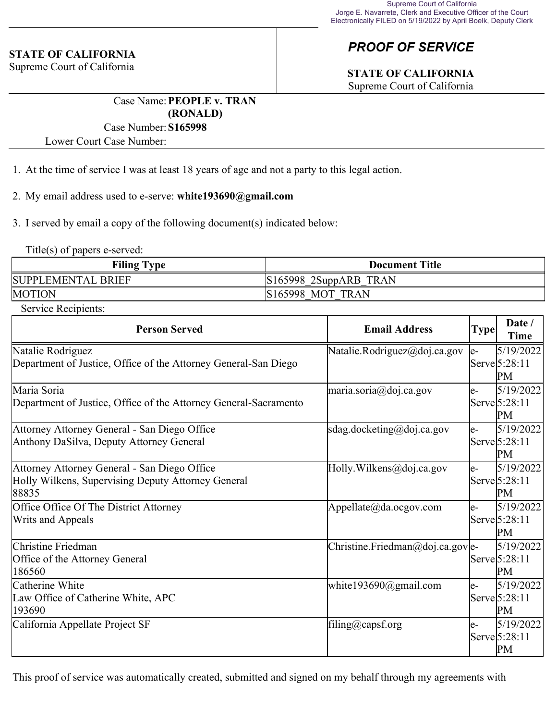#### **STATE OF CALIFORNIA**

Supreme Court of California

# *PROOF OF SERVICE*

## **STATE OF CALIFORNIA**

Supreme Court of California

Case Name:**PEOPLE v. TRAN (RONALD)**

#### Case Number:**S165998**

Lower Court Case Number:

1. At the time of service I was at least 18 years of age and not a party to this legal action.

2. My email address used to e-serve: **white193690@gmail.com**

3. I served by email a copy of the following document(s) indicated below:

Title(s) of papers e-served:

| <b>Filing Type</b> | <b>Document Title</b>   |
|--------------------|-------------------------|
| SUPPLEMENTAL BRIEF | $S165998$ 2SuppARB TRAN |
| <b>MOTION</b>      | <b>S165998 MOT TRAN</b> |

Service Recipients:

| <b>Person Served</b>                                                                                        | <b>Email Address</b>             | <b>Type</b> | Date /<br><b>Time</b>                      |
|-------------------------------------------------------------------------------------------------------------|----------------------------------|-------------|--------------------------------------------|
| Natalie Rodriguez<br>Department of Justice, Office of the Attorney General-San Diego                        | Natalie.Rodriguez@doj.ca.gov     | le-         | 5/19/2022<br>Serve 5:28:11<br>PM           |
| Maria Soria<br>Department of Justice, Office of the Attorney General-Sacramento                             | maria.soria@doj.ca.gov           | le-         | 5/19/2022<br>Serve 5:28:11<br>PM           |
| Attorney Attorney General - San Diego Office<br>Anthony DaSilva, Deputy Attorney General                    | sdag.docketing@doj.ca.gov        | le-         | 5/19/2022<br>$\text{Serve}$ 5:28:11<br>PM  |
| Attorney Attorney General - San Diego Office<br>Holly Wilkens, Supervising Deputy Attorney General<br>88835 | Holly. Wilkens@doj.ca.gov        | le-         | 5/19/2022<br>$\text{Serve}(5:28:11)$<br>PM |
| Office Office Of The District Attorney<br>Writs and Appeals                                                 | Appellate@da.ocgov.com           | le-         | 5/19/2022<br>$\text{Serve}$ 5:28:11<br>PM  |
| Christine Friedman<br>Office of the Attorney General<br>186560                                              | Christine.Friedman@doj.ca.gov e- |             | 5/19/2022<br>Serve 5:28:11<br>PM           |
| Catherine White<br>Law Office of Catherine White, APC<br>193690                                             | white193690@gmail.com            | le-         | 5/19/2022<br>$\text{Serve}$ 5:28:11<br>PM  |
| California Appellate Project SF                                                                             | filing@capsf.org                 | le-         | 5/19/2022<br>Serve 5:28:11<br>PM           |

This proof of service was automatically created, submitted and signed on my behalf through my agreements with